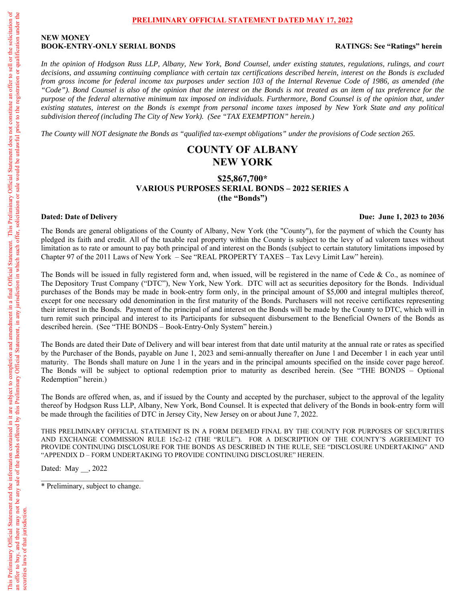#### **PRELIMINARY OFFICIAL STATEMENT DATED MAY 17, 2022**

#### **NEW MONEY BOOK-ENTRY-ONLY SERIAL BONDS RATINGS: See "Ratings" herein**

*In the opinion of Hodgson Russ LLP, Albany, New York, Bond Counsel, under existing statutes, regulations, rulings, and court decisions, and assuming continuing compliance with certain tax certifications described herein, interest on the Bonds is excluded from gross income for federal income tax purposes under section 103 of the Internal Revenue Code of 1986, as amended (the "Code"). Bond Counsel is also of the opinion that the interest on the Bonds is not treated as an item of tax preference for the purpose of the federal alternative minimum tax imposed on individuals. Furthermore, Bond Counsel is of the opinion that, under existing statutes, interest on the Bonds is exempt from personal income taxes imposed by New York State and any political subdivision thereof (including The City of New York). (See "TAX EXEMPTION" herein.)* 

*The County will NOT designate the Bonds as "qualified tax-exempt obligations" under the provisions of Code section 265.* 

# **COUNTY OF ALBANY NEW YORK**

## **\$25,867,700\* VARIOUS PURPOSES SERIAL BONDS – 2022 SERIES A (the "Bonds")**

#### **Dated: Date of Delivery Due: June 1, 2023 to 2036**

The Bonds are general obligations of the County of Albany, New York (the "County"), for the payment of which the County has pledged its faith and credit. All of the taxable real property within the County is subject to the levy of ad valorem taxes without limitation as to rate or amount to pay both principal of and interest on the Bonds (subject to certain statutory limitations imposed by Chapter 97 of the 2011 Laws of New York – See "REAL PROPERTY TAXES – Tax Levy Limit Law" herein).

The Bonds will be issued in fully registered form and, when issued, will be registered in the name of Cede & Co., as nominee of The Depository Trust Company ("DTC"), New York, New York. DTC will act as securities depository for the Bonds. Individual purchases of the Bonds may be made in book-entry form only, in the principal amount of \$5,000 and integral multiples thereof, except for one necessary odd denomination in the first maturity of the Bonds. Purchasers will not receive certificates representing their interest in the Bonds. Payment of the principal of and interest on the Bonds will be made by the County to DTC, which will in turn remit such principal and interest to its Participants for subsequent disbursement to the Beneficial Owners of the Bonds as described herein. (See "THE BONDS – Book-Entry-Only System" herein.)

The Bonds are dated their Date of Delivery and will bear interest from that date until maturity at the annual rate or rates as specified by the Purchaser of the Bonds, payable on June 1, 2023 and semi-annually thereafter on June 1 and December 1 in each year until maturity. The Bonds shall mature on June 1 in the years and in the principal amounts specified on the inside cover page hereof. The Bonds will be subject to optional redemption prior to maturity as described herein. (See "THE BONDS – Optional Redemption" herein.)

The Bonds are offered when, as, and if issued by the County and accepted by the purchaser, subject to the approval of the legality thereof by Hodgson Russ LLP, Albany, New York, Bond Counsel. It is expected that delivery of the Bonds in book-entry form will be made through the facilities of DTC in Jersey City, New Jersey on or about June 7, 2022.

THIS PRELIMINARY OFFICIAL STATEMENT IS IN A FORM DEEMED FINAL BY THE COUNTY FOR PURPOSES OF SECURITIES AND EXCHANGE COMMISSION RULE 15c2-12 (THE "RULE"). FOR A DESCRIPTION OF THE COUNTY'S AGREEMENT TO PROVIDE CONTINUING DISCLOSURE FOR THE BONDS AS DESCRIBED IN THE RULE, SEE "DISCLOSURE UNDERTAKING" AND "APPENDIX D – FORM UNDERTAKING TO PROVIDE CONTINUING DISCLOSURE" HEREIN.

Dated: May , 2022

\* Preliminary, subject to change.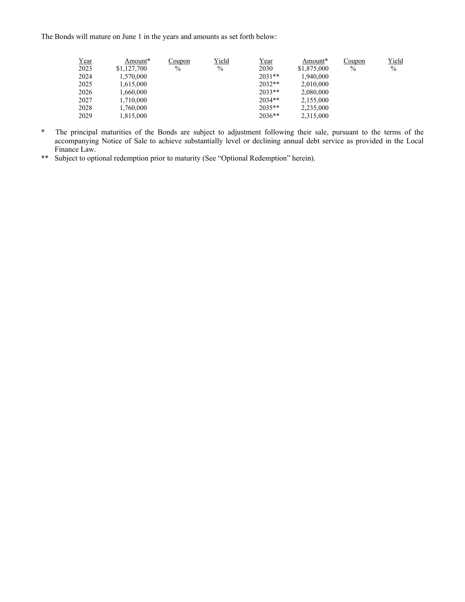The Bonds will mature on June 1 in the years and amounts as set forth below:

| Year | Amount*     | Coupon | <u>Yield</u> | <u>Year</u> | Amount*     | Coupon | <u>Yield</u>  |
|------|-------------|--------|--------------|-------------|-------------|--------|---------------|
| 2023 | \$1,127,700 | $\%$   | $\%$         | 2030        | \$1,875,000 | $\%$   | $\frac{0}{0}$ |
| 2024 | 1,570,000   |        |              | $2031**$    | 1,940,000   |        |               |
| 2025 | 1,615,000   |        |              | $2032**$    | 2,010,000   |        |               |
| 2026 | 1,660,000   |        |              | $2033**$    | 2,080,000   |        |               |
| 2027 | 1,710,000   |        |              | $2034**$    | 2,155,000   |        |               |
| 2028 | 1,760,000   |        |              | $2035**$    | 2,235,000   |        |               |
| 2029 | 1,815,000   |        |              | $2036**$    | 2,315,000   |        |               |

- \* The principal maturities of the Bonds are subject to adjustment following their sale, pursuant to the terms of the accompanying Notice of Sale to achieve substantially level or declining annual debt service as provided in the Local Finance Law.
- \*\* Subject to optional redemption prior to maturity (See "Optional Redemption" herein).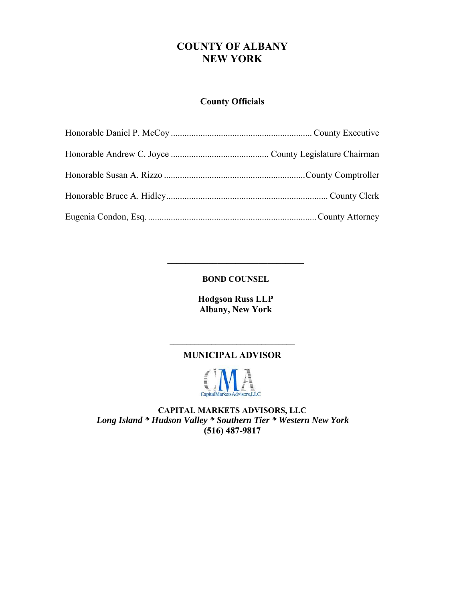# **COUNTY OF ALBANY NEW YORK**

# **County Officials**

**BOND COUNSEL** 

**\_\_\_\_\_\_\_\_\_\_\_\_\_\_\_\_\_\_\_\_\_\_\_\_\_\_\_\_\_\_** 

**Hodgson Russ LLP Albany, New York** 

# $\mathcal{L}_\text{max}$  , where  $\mathcal{L}_\text{max}$  , we have the set of  $\mathcal{L}_\text{max}$ **MUNICIPAL ADVISOR**



**CAPITAL MARKETS ADVISORS, LLC**  *Long Island \* Hudson Valley \* Southern Tier \* Western New York* **(516) 487-9817**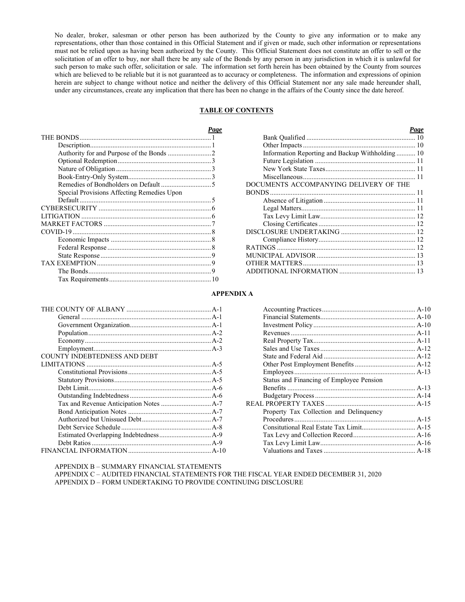No dealer, broker, salesman or other person has been authorized by the County to give any information or to make any representations, other than those contained in this Official Statement and if given or made, such other information or representations must not be relied upon as having been authorized by the County. This Official Statement does not constitute an offer to sell or the solicitation of an offer to buy, nor shall there be any sale of the Bonds by any person in any jurisdiction in which it is unlawful for such person to make such offer, solicitation or sale. The information set forth herein has been obtained by the County from sources which are believed to be reliable but it is not guaranteed as to accuracy or completeness. The information and expressions of opinion herein are subject to change without notice and neither the delivery of this Official Statement nor any sale made hereunder shall, under any circumstances, create any implication that there has been no change in the affairs of the County since the date hereof.

#### **TABLE OF CONTENTS**

| Page                                       |                                                  |  |
|--------------------------------------------|--------------------------------------------------|--|
| THE BONDS                                  |                                                  |  |
|                                            |                                                  |  |
|                                            | Information Reporting and Backup Withholding  10 |  |
|                                            |                                                  |  |
|                                            |                                                  |  |
|                                            |                                                  |  |
|                                            | DOCUMENTS ACCOMPANYING DELIVERY OF THE           |  |
| Special Provisions Affecting Remedies Upon |                                                  |  |
|                                            |                                                  |  |
|                                            |                                                  |  |
|                                            |                                                  |  |
|                                            |                                                  |  |
|                                            |                                                  |  |
|                                            |                                                  |  |
|                                            |                                                  |  |
|                                            |                                                  |  |
|                                            |                                                  |  |
|                                            |                                                  |  |
|                                            |                                                  |  |

| Information Reporting and Backup Withholding 10 |
|-------------------------------------------------|
|                                                 |
|                                                 |
|                                                 |
| DOCUMENTS ACCOMPANYING DELIVERY OF THE          |
|                                                 |
|                                                 |
|                                                 |
|                                                 |
|                                                 |
|                                                 |
|                                                 |
|                                                 |
|                                                 |
|                                                 |
|                                                 |

#### **APPENDIX A**

| <b>COUNTY INDEBTEDNESS AND DEBT</b> |  |
|-------------------------------------|--|
|                                     |  |
|                                     |  |
|                                     |  |
|                                     |  |
|                                     |  |
|                                     |  |
|                                     |  |
|                                     |  |
|                                     |  |
|                                     |  |
|                                     |  |
|                                     |  |

| Status and Financing of Employee Pension |  |
|------------------------------------------|--|
|                                          |  |
|                                          |  |
|                                          |  |
| Property Tax Collection and Delinquency  |  |
|                                          |  |
|                                          |  |
|                                          |  |
|                                          |  |
|                                          |  |
|                                          |  |

APPENDIX B – SUMMARY FINANCIAL STATEMENTS

APPENDIX C – AUDITED FINANCIAL STATEMENTS FOR THE FISCAL YEAR ENDED DECEMBER 31, 2020 APPENDIX D – FORM UNDERTAKING TO PROVIDE CONTINUING DISCLOSURE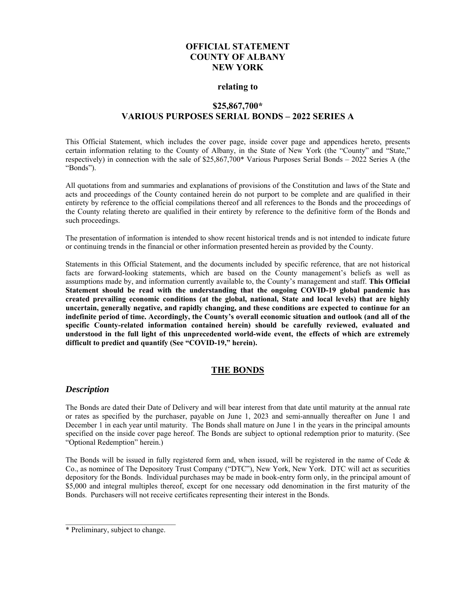## **OFFICIAL STATEMENT COUNTY OF ALBANY NEW YORK**

#### **relating to**

## **\$25,867,700\* VARIOUS PURPOSES SERIAL BONDS – 2022 SERIES A**

This Official Statement, which includes the cover page, inside cover page and appendices hereto, presents certain information relating to the County of Albany, in the State of New York (the "County" and "State," respectively) in connection with the sale of \$25,867,700\* Various Purposes Serial Bonds – 2022 Series A (the "Bonds").

All quotations from and summaries and explanations of provisions of the Constitution and laws of the State and acts and proceedings of the County contained herein do not purport to be complete and are qualified in their entirety by reference to the official compilations thereof and all references to the Bonds and the proceedings of the County relating thereto are qualified in their entirety by reference to the definitive form of the Bonds and such proceedings.

The presentation of information is intended to show recent historical trends and is not intended to indicate future or continuing trends in the financial or other information presented herein as provided by the County.

Statements in this Official Statement, and the documents included by specific reference, that are not historical facts are forward-looking statements, which are based on the County management's beliefs as well as assumptions made by, and information currently available to, the County's management and staff. **This Official Statement should be read with the understanding that the ongoing COVID-19 global pandemic has created prevailing economic conditions (at the global, national, State and local levels) that are highly uncertain, generally negative, and rapidly changing, and these conditions are expected to continue for an indefinite period of time. Accordingly, the County's overall economic situation and outlook (and all of the specific County-related information contained herein) should be carefully reviewed, evaluated and understood in the full light of this unprecedented world-wide event, the effects of which are extremely difficult to predict and quantify (See "COVID-19," herein).** 

## **THE BONDS**

## *Description*

The Bonds are dated their Date of Delivery and will bear interest from that date until maturity at the annual rate or rates as specified by the purchaser, payable on June 1, 2023 and semi-annually thereafter on June 1 and December 1 in each year until maturity. The Bonds shall mature on June 1 in the years in the principal amounts specified on the inside cover page hereof. The Bonds are subject to optional redemption prior to maturity. (See "Optional Redemption" herein.)

The Bonds will be issued in fully registered form and, when issued, will be registered in the name of Cede & Co., as nominee of The Depository Trust Company ("DTC"), New York, New York. DTC will act as securities depository for the Bonds. Individual purchases may be made in book-entry form only, in the principal amount of \$5,000 and integral multiples thereof, except for one necessary odd denomination in the first maturity of the Bonds. Purchasers will not receive certificates representing their interest in the Bonds.

\_\_\_\_\_\_\_\_\_\_\_\_\_\_\_\_\_\_\_\_\_\_\_\_\_\_\_\_\_

<sup>\*</sup> Preliminary, subject to change.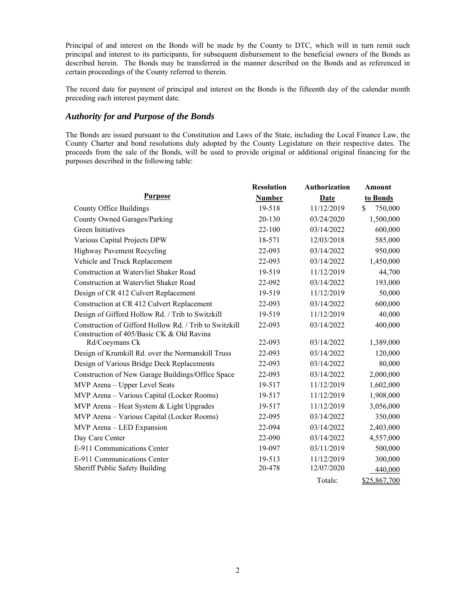Principal of and interest on the Bonds will be made by the County to DTC, which will in turn remit such principal and interest to its participants, for subsequent disbursement to the beneficial owners of the Bonds as described herein. The Bonds may be transferred in the manner described on the Bonds and as referenced in certain proceedings of the County referred to therein.

The record date for payment of principal and interest on the Bonds is the fifteenth day of the calendar month preceding each interest payment date.

## *Authority for and Purpose of the Bonds*

The Bonds are issued pursuant to the Constitution and Laws of the State, including the Local Finance Law, the County Charter and bond resolutions duly adopted by the County Legislature on their respective dates. The proceeds from the sale of the Bonds, will be used to provide original or additional original financing for the purposes described in the following table:

|                                                        | <b>Resolution</b> | <b>Authorization</b> | <b>Amount</b> |
|--------------------------------------------------------|-------------------|----------------------|---------------|
| Purpose                                                | <b>Number</b>     | Date                 | to Bonds      |
| County Office Buildings                                | 19-518            | 11/12/2019           | 750,000<br>\$ |
| <b>County Owned Garages/Parking</b>                    | 20-130            | 03/24/2020           | 1,500,000     |
| Green Initiatives                                      | 22-100            | 03/14/2022           | 600,000       |
| Various Capital Projects DPW                           | 18-571            | 12/03/2018           | 585,000       |
| Highway Pavement Recycling                             | 22-093            | 03/14/2022           | 950,000       |
| Vehicle and Truck Replacement                          | 22-093            | 03/14/2022           | 1,450,000     |
| <b>Construction at Watervliet Shaker Road</b>          | 19-519            | 11/12/2019           | 44,700        |
| Construction at Watervliet Shaker Road                 | 22-092            | 03/14/2022           | 193,000       |
| Design of CR 412 Culvert Replacement                   | 19-519            | 11/12/2019           | 50,000        |
| Construction at CR 412 Culvert Replacement             | 22-093            | 03/14/2022           | 600,000       |
| Design of Gifford Hollow Rd. / Trib to Switzkill       | 19-519            | 11/12/2019           | 40,000        |
| Construction of Gifford Hollow Rd. / Trib to Switzkill | 22-093            | 03/14/2022           | 400,000       |
| Construction of 405/Basic CK & Old Ravina              |                   |                      |               |
| Rd/Coeymans Ck                                         | 22-093            | 03/14/2022           | 1,389,000     |
| Design of Krumkill Rd. over the Normanskill Truss      | 22-093            | 03/14/2022           | 120,000       |
| Design of Various Bridge Deck Replacements             | 22-093            | 03/14/2022           | 80,000        |
| Construction of New Garage Buildings/Office Space      | 22-093            | 03/14/2022           | 2,000,000     |
| MVP Arena - Upper Level Seats                          | 19-517            | 11/12/2019           | 1,602,000     |
| MVP Arena - Various Capital (Locker Rooms)             | 19-517            | 11/12/2019           | 1,908,000     |
| MVP Arena - Heat System & Light Upgrades               | 19-517            | 11/12/2019           | 3,056,000     |
| MVP Arena - Various Capital (Locker Rooms)             | 22-095            | 03/14/2022           | 350,000       |
| MVP Arena - LED Expansion                              | 22-094            | 03/14/2022           | 2,403,000     |
| Day Care Center                                        | 22-090            | 03/14/2022           | 4,557,000     |
| E-911 Communications Center                            | 19-097            | 03/11/2019           | 500,000       |
| E-911 Communications Center                            | 19-513            | 11/12/2019           | 300,000       |
| Sheriff Public Safety Building                         | 20-478            | 12/07/2020           | 440,000       |
|                                                        |                   | Totals:              | \$25,867,700  |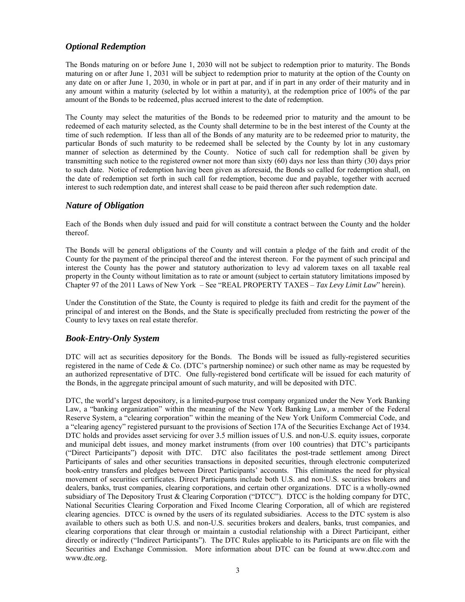## *Optional Redemption*

The Bonds maturing on or before June 1, 2030 will not be subject to redemption prior to maturity. The Bonds maturing on or after June 1, 2031 will be subject to redemption prior to maturity at the option of the County on any date on or after June 1, 2030, in whole or in part at par, and if in part in any order of their maturity and in any amount within a maturity (selected by lot within a maturity), at the redemption price of 100% of the par amount of the Bonds to be redeemed, plus accrued interest to the date of redemption.

The County may select the maturities of the Bonds to be redeemed prior to maturity and the amount to be redeemed of each maturity selected, as the County shall determine to be in the best interest of the County at the time of such redemption. If less than all of the Bonds of any maturity are to be redeemed prior to maturity, the particular Bonds of such maturity to be redeemed shall be selected by the County by lot in any customary manner of selection as determined by the County. Notice of such call for redemption shall be given by transmitting such notice to the registered owner not more than sixty (60) days nor less than thirty (30) days prior to such date. Notice of redemption having been given as aforesaid, the Bonds so called for redemption shall, on the date of redemption set forth in such call for redemption, become due and payable, together with accrued interest to such redemption date, and interest shall cease to be paid thereon after such redemption date.

## *Nature of Obligation*

Each of the Bonds when duly issued and paid for will constitute a contract between the County and the holder thereof.

The Bonds will be general obligations of the County and will contain a pledge of the faith and credit of the County for the payment of the principal thereof and the interest thereon. For the payment of such principal and interest the County has the power and statutory authorization to levy ad valorem taxes on all taxable real property in the County without limitation as to rate or amount (subject to certain statutory limitations imposed by Chapter 97 of the 2011 Laws of New York – See "REAL PROPERTY TAXES – *Tax Levy Limit Law*" herein).

Under the Constitution of the State, the County is required to pledge its faith and credit for the payment of the principal of and interest on the Bonds, and the State is specifically precluded from restricting the power of the County to levy taxes on real estate therefor.

## *Book-Entry-Only System*

DTC will act as securities depository for the Bonds. The Bonds will be issued as fully-registered securities registered in the name of Cede & Co. (DTC's partnership nominee) or such other name as may be requested by an authorized representative of DTC. One fully-registered bond certificate will be issued for each maturity of the Bonds, in the aggregate principal amount of such maturity, and will be deposited with DTC.

DTC, the world's largest depository, is a limited-purpose trust company organized under the New York Banking Law, a "banking organization" within the meaning of the New York Banking Law, a member of the Federal Reserve System, a "clearing corporation" within the meaning of the New York Uniform Commercial Code, and a "clearing agency" registered pursuant to the provisions of Section 17A of the Securities Exchange Act of 1934. DTC holds and provides asset servicing for over 3.5 million issues of U.S. and non-U.S. equity issues, corporate and municipal debt issues, and money market instruments (from over 100 countries) that DTC's participants ("Direct Participants") deposit with DTC. DTC also facilitates the post-trade settlement among Direct Participants of sales and other securities transactions in deposited securities, through electronic computerized book-entry transfers and pledges between Direct Participants' accounts. This eliminates the need for physical movement of securities certificates. Direct Participants include both U.S. and non-U.S. securities brokers and dealers, banks, trust companies, clearing corporations, and certain other organizations. DTC is a wholly-owned subsidiary of The Depository Trust & Clearing Corporation ("DTCC"). DTCC is the holding company for DTC, National Securities Clearing Corporation and Fixed Income Clearing Corporation, all of which are registered clearing agencies. DTCC is owned by the users of its regulated subsidiaries. Access to the DTC system is also available to others such as both U.S. and non-U.S. securities brokers and dealers, banks, trust companies, and clearing corporations that clear through or maintain a custodial relationship with a Direct Participant, either directly or indirectly ("Indirect Participants"). The DTC Rules applicable to its Participants are on file with the Securities and Exchange Commission. More information about DTC can be found at www.dtcc.com and www.dtc.org.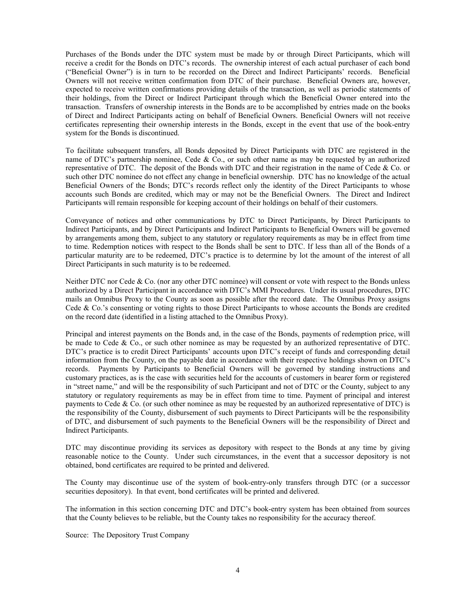Purchases of the Bonds under the DTC system must be made by or through Direct Participants, which will receive a credit for the Bonds on DTC's records. The ownership interest of each actual purchaser of each bond ("Beneficial Owner") is in turn to be recorded on the Direct and Indirect Participants' records. Beneficial Owners will not receive written confirmation from DTC of their purchase. Beneficial Owners are, however, expected to receive written confirmations providing details of the transaction, as well as periodic statements of their holdings, from the Direct or Indirect Participant through which the Beneficial Owner entered into the transaction. Transfers of ownership interests in the Bonds are to be accomplished by entries made on the books of Direct and Indirect Participants acting on behalf of Beneficial Owners. Beneficial Owners will not receive certificates representing their ownership interests in the Bonds, except in the event that use of the book-entry system for the Bonds is discontinued.

To facilitate subsequent transfers, all Bonds deposited by Direct Participants with DTC are registered in the name of DTC's partnership nominee, Cede & Co., or such other name as may be requested by an authorized representative of DTC. The deposit of the Bonds with DTC and their registration in the name of Cede & Co. or such other DTC nominee do not effect any change in beneficial ownership. DTC has no knowledge of the actual Beneficial Owners of the Bonds; DTC's records reflect only the identity of the Direct Participants to whose accounts such Bonds are credited, which may or may not be the Beneficial Owners. The Direct and Indirect Participants will remain responsible for keeping account of their holdings on behalf of their customers.

Conveyance of notices and other communications by DTC to Direct Participants, by Direct Participants to Indirect Participants, and by Direct Participants and Indirect Participants to Beneficial Owners will be governed by arrangements among them, subject to any statutory or regulatory requirements as may be in effect from time to time. Redemption notices with respect to the Bonds shall be sent to DTC. If less than all of the Bonds of a particular maturity are to be redeemed, DTC's practice is to determine by lot the amount of the interest of all Direct Participants in such maturity is to be redeemed.

Neither DTC nor Cede & Co. (nor any other DTC nominee) will consent or vote with respect to the Bonds unless authorized by a Direct Participant in accordance with DTC's MMI Procedures. Under its usual procedures, DTC mails an Omnibus Proxy to the County as soon as possible after the record date. The Omnibus Proxy assigns Cede & Co.'s consenting or voting rights to those Direct Participants to whose accounts the Bonds are credited on the record date (identified in a listing attached to the Omnibus Proxy).

Principal and interest payments on the Bonds and, in the case of the Bonds, payments of redemption price, will be made to Cede & Co., or such other nominee as may be requested by an authorized representative of DTC. DTC's practice is to credit Direct Participants' accounts upon DTC's receipt of funds and corresponding detail information from the County, on the payable date in accordance with their respective holdings shown on DTC's records. Payments by Participants to Beneficial Owners will be governed by standing instructions and customary practices, as is the case with securities held for the accounts of customers in bearer form or registered in "street name," and will be the responsibility of such Participant and not of DTC or the County, subject to any statutory or regulatory requirements as may be in effect from time to time. Payment of principal and interest payments to Cede & Co. (or such other nominee as may be requested by an authorized representative of DTC) is the responsibility of the County, disbursement of such payments to Direct Participants will be the responsibility of DTC, and disbursement of such payments to the Beneficial Owners will be the responsibility of Direct and Indirect Participants.

DTC may discontinue providing its services as depository with respect to the Bonds at any time by giving reasonable notice to the County. Under such circumstances, in the event that a successor depository is not obtained, bond certificates are required to be printed and delivered.

The County may discontinue use of the system of book-entry-only transfers through DTC (or a successor securities depository). In that event, bond certificates will be printed and delivered.

The information in this section concerning DTC and DTC's book-entry system has been obtained from sources that the County believes to be reliable, but the County takes no responsibility for the accuracy thereof.

Source: The Depository Trust Company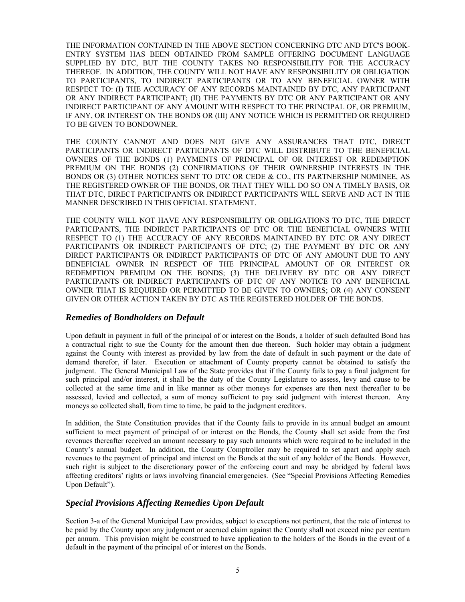THE INFORMATION CONTAINED IN THE ABOVE SECTION CONCERNING DTC AND DTC'S BOOK-ENTRY SYSTEM HAS BEEN OBTAINED FROM SAMPLE OFFERING DOCUMENT LANGUAGE SUPPLIED BY DTC, BUT THE COUNTY TAKES NO RESPONSIBILITY FOR THE ACCURACY THEREOF. IN ADDITION, THE COUNTY WILL NOT HAVE ANY RESPONSIBILITY OR OBLIGATION TO PARTICIPANTS, TO INDIRECT PARTICIPANTS OR TO ANY BENEFICIAL OWNER WITH RESPECT TO: (I) THE ACCURACY OF ANY RECORDS MAINTAINED BY DTC, ANY PARTICIPANT OR ANY INDIRECT PARTICIPANT; (II) THE PAYMENTS BY DTC OR ANY PARTICIPANT OR ANY INDIRECT PARTICIPANT OF ANY AMOUNT WITH RESPECT TO THE PRINCIPAL OF, OR PREMIUM, IF ANY, OR INTEREST ON THE BONDS OR (III) ANY NOTICE WHICH IS PERMITTED OR REQUIRED TO BE GIVEN TO BONDOWNER.

THE COUNTY CANNOT AND DOES NOT GIVE ANY ASSURANCES THAT DTC, DIRECT PARTICIPANTS OR INDIRECT PARTICIPANTS OF DTC WILL DISTRIBUTE TO THE BENEFICIAL OWNERS OF THE BONDS (1) PAYMENTS OF PRINCIPAL OF OR INTEREST OR REDEMPTION PREMIUM ON THE BONDS (2) CONFIRMATIONS OF THEIR OWNERSHIP INTERESTS IN THE BONDS OR (3) OTHER NOTICES SENT TO DTC OR CEDE & CO., ITS PARTNERSHIP NOMINEE, AS THE REGISTERED OWNER OF THE BONDS, OR THAT THEY WILL DO SO ON A TIMELY BASIS, OR THAT DTC, DIRECT PARTICIPANTS OR INDIRECT PARTICIPANTS WILL SERVE AND ACT IN THE MANNER DESCRIBED IN THIS OFFICIAL STATEMENT.

THE COUNTY WILL NOT HAVE ANY RESPONSIBILITY OR OBLIGATIONS TO DTC, THE DIRECT PARTICIPANTS, THE INDIRECT PARTICIPANTS OF DTC OR THE BENEFICIAL OWNERS WITH RESPECT TO (1) THE ACCURACY OF ANY RECORDS MAINTAINED BY DTC OR ANY DIRECT PARTICIPANTS OR INDIRECT PARTICIPANTS OF DTC; (2) THE PAYMENT BY DTC OR ANY DIRECT PARTICIPANTS OR INDIRECT PARTICIPANTS OF DTC OF ANY AMOUNT DUE TO ANY BENEFICIAL OWNER IN RESPECT OF THE PRINCIPAL AMOUNT OF OR INTEREST OR REDEMPTION PREMIUM ON THE BONDS; (3) THE DELIVERY BY DTC OR ANY DIRECT PARTICIPANTS OR INDIRECT PARTICIPANTS OF DTC OF ANY NOTICE TO ANY BENEFICIAL OWNER THAT IS REQUIRED OR PERMITTED TO BE GIVEN TO OWNERS; OR (4) ANY CONSENT GIVEN OR OTHER ACTION TAKEN BY DTC AS THE REGISTERED HOLDER OF THE BONDS.

## *Remedies of Bondholders on Default*

Upon default in payment in full of the principal of or interest on the Bonds, a holder of such defaulted Bond has a contractual right to sue the County for the amount then due thereon. Such holder may obtain a judgment against the County with interest as provided by law from the date of default in such payment or the date of demand therefor, if later. Execution or attachment of County property cannot be obtained to satisfy the judgment. The General Municipal Law of the State provides that if the County fails to pay a final judgment for such principal and/or interest, it shall be the duty of the County Legislature to assess, levy and cause to be collected at the same time and in like manner as other moneys for expenses are then next thereafter to be assessed, levied and collected, a sum of money sufficient to pay said judgment with interest thereon. Any moneys so collected shall, from time to time, be paid to the judgment creditors.

In addition, the State Constitution provides that if the County fails to provide in its annual budget an amount sufficient to meet payment of principal of or interest on the Bonds, the County shall set aside from the first revenues thereafter received an amount necessary to pay such amounts which were required to be included in the County's annual budget. In addition, the County Comptroller may be required to set apart and apply such revenues to the payment of principal and interest on the Bonds at the suit of any holder of the Bonds. However, such right is subject to the discretionary power of the enforcing court and may be abridged by federal laws affecting creditors' rights or laws involving financial emergencies. (See "Special Provisions Affecting Remedies Upon Default").

## *Special Provisions Affecting Remedies Upon Default*

Section 3-a of the General Municipal Law provides, subject to exceptions not pertinent, that the rate of interest to be paid by the County upon any judgment or accrued claim against the County shall not exceed nine per centum per annum. This provision might be construed to have application to the holders of the Bonds in the event of a default in the payment of the principal of or interest on the Bonds.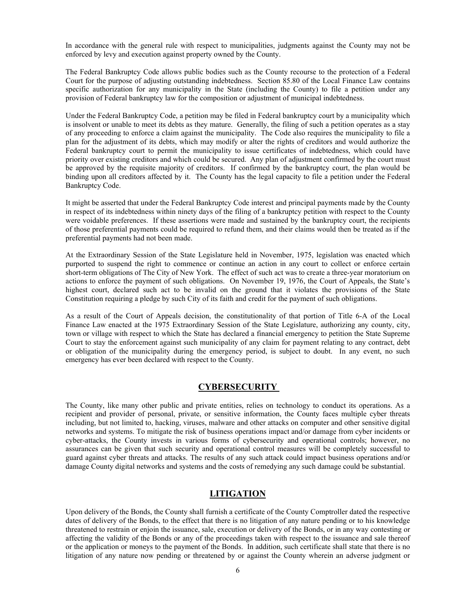In accordance with the general rule with respect to municipalities, judgments against the County may not be enforced by levy and execution against property owned by the County.

The Federal Bankruptcy Code allows public bodies such as the County recourse to the protection of a Federal Court for the purpose of adjusting outstanding indebtedness. Section 85.80 of the Local Finance Law contains specific authorization for any municipality in the State (including the County) to file a petition under any provision of Federal bankruptcy law for the composition or adjustment of municipal indebtedness.

Under the Federal Bankruptcy Code, a petition may be filed in Federal bankruptcy court by a municipality which is insolvent or unable to meet its debts as they mature. Generally, the filing of such a petition operates as a stay of any proceeding to enforce a claim against the municipality. The Code also requires the municipality to file a plan for the adjustment of its debts, which may modify or alter the rights of creditors and would authorize the Federal bankruptcy court to permit the municipality to issue certificates of indebtedness, which could have priority over existing creditors and which could be secured. Any plan of adjustment confirmed by the court must be approved by the requisite majority of creditors. If confirmed by the bankruptcy court, the plan would be binding upon all creditors affected by it. The County has the legal capacity to file a petition under the Federal Bankruptcy Code.

It might be asserted that under the Federal Bankruptcy Code interest and principal payments made by the County in respect of its indebtedness within ninety days of the filing of a bankruptcy petition with respect to the County were voidable preferences. If these assertions were made and sustained by the bankruptcy court, the recipients of those preferential payments could be required to refund them, and their claims would then be treated as if the preferential payments had not been made.

At the Extraordinary Session of the State Legislature held in November, 1975, legislation was enacted which purported to suspend the right to commence or continue an action in any court to collect or enforce certain short-term obligations of The City of New York. The effect of such act was to create a three-year moratorium on actions to enforce the payment of such obligations. On November 19, 1976, the Court of Appeals, the State's highest court, declared such act to be invalid on the ground that it violates the provisions of the State Constitution requiring a pledge by such City of its faith and credit for the payment of such obligations.

As a result of the Court of Appeals decision, the constitutionality of that portion of Title 6-A of the Local Finance Law enacted at the 1975 Extraordinary Session of the State Legislature, authorizing any county, city, town or village with respect to which the State has declared a financial emergency to petition the State Supreme Court to stay the enforcement against such municipality of any claim for payment relating to any contract, debt or obligation of the municipality during the emergency period, is subject to doubt. In any event, no such emergency has ever been declared with respect to the County.

## **CYBERSECURITY**

The County, like many other public and private entities, relies on technology to conduct its operations. As a recipient and provider of personal, private, or sensitive information, the County faces multiple cyber threats including, but not limited to, hacking, viruses, malware and other attacks on computer and other sensitive digital networks and systems. To mitigate the risk of business operations impact and/or damage from cyber incidents or cyber-attacks, the County invests in various forms of cybersecurity and operational controls; however, no assurances can be given that such security and operational control measures will be completely successful to guard against cyber threats and attacks. The results of any such attack could impact business operations and/or damage County digital networks and systems and the costs of remedying any such damage could be substantial.

## **LITIGATION**

Upon delivery of the Bonds, the County shall furnish a certificate of the County Comptroller dated the respective dates of delivery of the Bonds, to the effect that there is no litigation of any nature pending or to his knowledge threatened to restrain or enjoin the issuance, sale, execution or delivery of the Bonds, or in any way contesting or affecting the validity of the Bonds or any of the proceedings taken with respect to the issuance and sale thereof or the application or moneys to the payment of the Bonds. In addition, such certificate shall state that there is no litigation of any nature now pending or threatened by or against the County wherein an adverse judgment or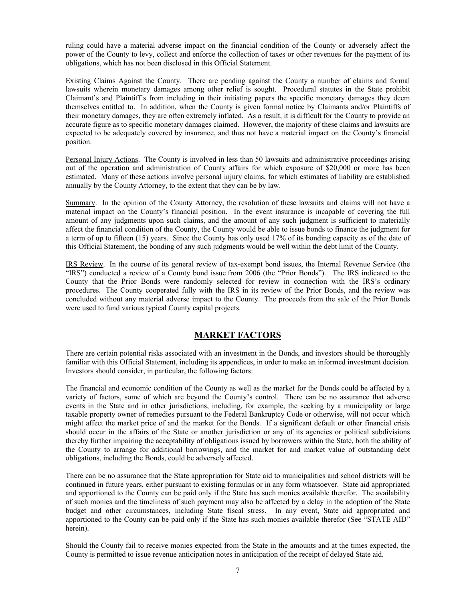ruling could have a material adverse impact on the financial condition of the County or adversely affect the power of the County to levy, collect and enforce the collection of taxes or other revenues for the payment of its obligations, which has not been disclosed in this Official Statement.

Existing Claims Against the County. There are pending against the County a number of claims and formal lawsuits wherein monetary damages among other relief is sought. Procedural statutes in the State prohibit Claimant's and Plaintiff's from including in their initiating papers the specific monetary damages they deem themselves entitled to. In addition, when the County is given formal notice by Claimants and/or Plaintiffs of their monetary damages, they are often extremely inflated. As a result, it is difficult for the County to provide an accurate figure as to specific monetary damages claimed. However, the majority of these claims and lawsuits are expected to be adequately covered by insurance, and thus not have a material impact on the County's financial position.

Personal Injury Actions. The County is involved in less than 50 lawsuits and administrative proceedings arising out of the operation and administration of County affairs for which exposure of \$20,000 or more has been estimated. Many of these actions involve personal injury claims, for which estimates of liability are established annually by the County Attorney, to the extent that they can be by law.

Summary. In the opinion of the County Attorney, the resolution of these lawsuits and claims will not have a material impact on the County's financial position. In the event insurance is incapable of covering the full amount of any judgments upon such claims, and the amount of any such judgment is sufficient to materially affect the financial condition of the County, the County would be able to issue bonds to finance the judgment for a term of up to fifteen (15) years. Since the County has only used 17% of its bonding capacity as of the date of this Official Statement, the bonding of any such judgments would be well within the debt limit of the County.

IRS Review. In the course of its general review of tax-exempt bond issues, the Internal Revenue Service (the "IRS") conducted a review of a County bond issue from 2006 (the "Prior Bonds"). The IRS indicated to the County that the Prior Bonds were randomly selected for review in connection with the IRS's ordinary procedures. The County cooperated fully with the IRS in its review of the Prior Bonds, and the review was concluded without any material adverse impact to the County. The proceeds from the sale of the Prior Bonds were used to fund various typical County capital projects.

## **MARKET FACTORS**

There are certain potential risks associated with an investment in the Bonds, and investors should be thoroughly familiar with this Official Statement, including its appendices, in order to make an informed investment decision. Investors should consider, in particular, the following factors:

The financial and economic condition of the County as well as the market for the Bonds could be affected by a variety of factors, some of which are beyond the County's control. There can be no assurance that adverse events in the State and in other jurisdictions, including, for example, the seeking by a municipality or large taxable property owner of remedies pursuant to the Federal Bankruptcy Code or otherwise, will not occur which might affect the market price of and the market for the Bonds. If a significant default or other financial crisis should occur in the affairs of the State or another jurisdiction or any of its agencies or political subdivisions thereby further impairing the acceptability of obligations issued by borrowers within the State, both the ability of the County to arrange for additional borrowings, and the market for and market value of outstanding debt obligations, including the Bonds, could be adversely affected.

There can be no assurance that the State appropriation for State aid to municipalities and school districts will be continued in future years, either pursuant to existing formulas or in any form whatsoever. State aid appropriated and apportioned to the County can be paid only if the State has such monies available therefor. The availability of such monies and the timeliness of such payment may also be affected by a delay in the adoption of the State budget and other circumstances, including State fiscal stress. In any event, State aid appropriated and apportioned to the County can be paid only if the State has such monies available therefor (See "STATE AID" herein).

Should the County fail to receive monies expected from the State in the amounts and at the times expected, the County is permitted to issue revenue anticipation notes in anticipation of the receipt of delayed State aid.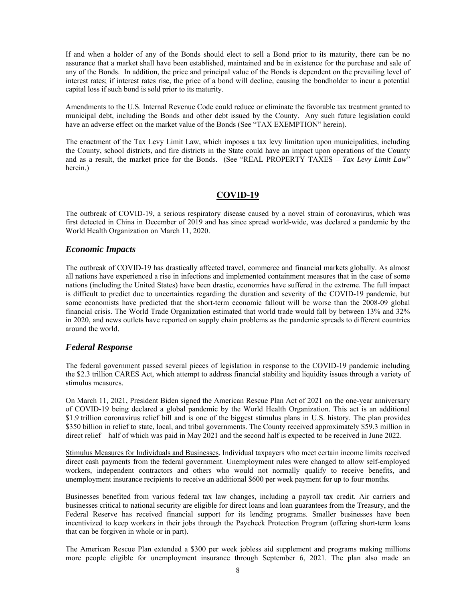If and when a holder of any of the Bonds should elect to sell a Bond prior to its maturity, there can be no assurance that a market shall have been established, maintained and be in existence for the purchase and sale of any of the Bonds. In addition, the price and principal value of the Bonds is dependent on the prevailing level of interest rates; if interest rates rise, the price of a bond will decline, causing the bondholder to incur a potential capital loss if such bond is sold prior to its maturity.

Amendments to the U.S. Internal Revenue Code could reduce or eliminate the favorable tax treatment granted to municipal debt, including the Bonds and other debt issued by the County. Any such future legislation could have an adverse effect on the market value of the Bonds (See "TAX EXEMPTION" herein).

The enactment of the Tax Levy Limit Law, which imposes a tax levy limitation upon municipalities, including the County, school districts, and fire districts in the State could have an impact upon operations of the County and as a result, the market price for the Bonds. (See "REAL PROPERTY TAXES *– Tax Levy Limit Law*" herein.)

## **COVID-19**

The outbreak of COVID-19, a serious respiratory disease caused by a novel strain of coronavirus, which was first detected in China in December of 2019 and has since spread world-wide, was declared a pandemic by the World Health Organization on March 11, 2020.

## *Economic Impacts*

The outbreak of COVID-19 has drastically affected travel, commerce and financial markets globally. As almost all nations have experienced a rise in infections and implemented containment measures that in the case of some nations (including the United States) have been drastic, economies have suffered in the extreme. The full impact is difficult to predict due to uncertainties regarding the duration and severity of the COVID-19 pandemic, but some economists have predicted that the short-term economic fallout will be worse than the 2008-09 global financial crisis. The World Trade Organization estimated that world trade would fall by between 13% and 32% in 2020, and news outlets have reported on supply chain problems as the pandemic spreads to different countries around the world.

## *Federal Response*

The federal government passed several pieces of legislation in response to the COVID-19 pandemic including the \$2.3 trillion CARES Act, which attempt to address financial stability and liquidity issues through a variety of stimulus measures.

On March 11, 2021, President Biden signed the American Rescue Plan Act of 2021 on the one-year anniversary of COVID-19 being declared a global pandemic by the World Health Organization. This act is an additional \$1.9 trillion coronavirus relief bill and is one of the biggest stimulus plans in U.S. history. The plan provides \$350 billion in relief to state, local, and tribal governments. The County received approximately \$59.3 million in direct relief – half of which was paid in May 2021 and the second half is expected to be received in June 2022.

Stimulus Measures for Individuals and Businesses. Individual taxpayers who meet certain income limits received direct cash payments from the federal government. Unemployment rules were changed to allow self-employed workers, independent contractors and others who would not normally qualify to receive benefits, and unemployment insurance recipients to receive an additional \$600 per week payment for up to four months.

Businesses benefited from various federal tax law changes, including a payroll tax credit. Air carriers and businesses critical to national security are eligible for direct loans and loan guarantees from the Treasury, and the Federal Reserve has received financial support for its lending programs. Smaller businesses have been incentivized to keep workers in their jobs through the Paycheck Protection Program (offering short-term loans that can be forgiven in whole or in part).

The American Rescue Plan extended a \$300 per week jobless aid supplement and programs making millions more people eligible for unemployment insurance through September 6, 2021. The plan also made an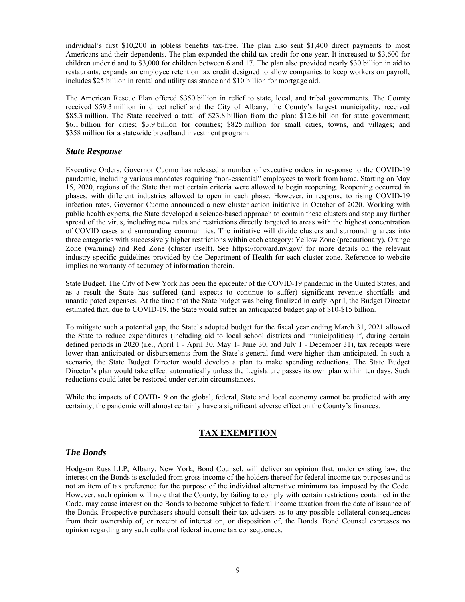individual's first \$10,200 in jobless benefits tax-free. The plan also sent \$1,400 direct payments to most Americans and their dependents. The plan expanded the child tax credit for one year. It increased to \$3,600 for children under 6 and to \$3,000 for children between 6 and 17. The plan also provided nearly \$30 billion in aid to restaurants, expands an employee retention tax credit designed to allow companies to keep workers on payroll, includes \$25 billion in rental and utility assistance and \$10 billion for mortgage aid.

The American Rescue Plan offered \$350 billion in relief to state, local, and tribal governments. The County received \$59.3 million in direct relief and the City of Albany, the County's largest municipality, received \$85.3 million. The State received a total of \$23.8 billion from the plan: \$12.6 billion for state government; \$6.1 billion for cities; \$3.9 billion for counties; \$825 million for small cities, towns, and villages; and \$358 million for a statewide broadband investment program.

### *State Response*

Executive Orders. Governor Cuomo has released a number of executive orders in response to the COVID-19 pandemic, including various mandates requiring "non-essential" employees to work from home. Starting on May 15, 2020, regions of the State that met certain criteria were allowed to begin reopening. Reopening occurred in phases, with different industries allowed to open in each phase. However, in response to rising COVID-19 infection rates, Governor Cuomo announced a new cluster action initiative in October of 2020. Working with public health experts, the State developed a science-based approach to contain these clusters and stop any further spread of the virus, including new rules and restrictions directly targeted to areas with the highest concentration of COVID cases and surrounding communities. The initiative will divide clusters and surrounding areas into three categories with successively higher restrictions within each category: Yellow Zone (precautionary), Orange Zone (warning) and Red Zone (cluster itself). See https://forward.ny.gov/ for more details on the relevant industry-specific guidelines provided by the Department of Health for each cluster zone. Reference to website implies no warranty of accuracy of information therein.

State Budget. The City of New York has been the epicenter of the COVID-19 pandemic in the United States, and as a result the State has suffered (and expects to continue to suffer) significant revenue shortfalls and unanticipated expenses. At the time that the State budget was being finalized in early April, the Budget Director estimated that, due to COVID-19, the State would suffer an anticipated budget gap of \$10-\$15 billion.

To mitigate such a potential gap, the State's adopted budget for the fiscal year ending March 31, 2021 allowed the State to reduce expenditures (including aid to local school districts and municipalities) if, during certain defined periods in 2020 (i.e., April 1 - April 30, May 1- June 30, and July 1 - December 31), tax receipts were lower than anticipated or disbursements from the State's general fund were higher than anticipated. In such a scenario, the State Budget Director would develop a plan to make spending reductions. The State Budget Director's plan would take effect automatically unless the Legislature passes its own plan within ten days. Such reductions could later be restored under certain circumstances.

While the impacts of COVID-19 on the global, federal, State and local economy cannot be predicted with any certainty, the pandemic will almost certainly have a significant adverse effect on the County's finances.

## **TAX EXEMPTION**

## *The Bonds*

Hodgson Russ LLP, Albany, New York, Bond Counsel, will deliver an opinion that, under existing law, the interest on the Bonds is excluded from gross income of the holders thereof for federal income tax purposes and is not an item of tax preference for the purpose of the individual alternative minimum tax imposed by the Code. However, such opinion will note that the County, by failing to comply with certain restrictions contained in the Code, may cause interest on the Bonds to become subject to federal income taxation from the date of issuance of the Bonds. Prospective purchasers should consult their tax advisers as to any possible collateral consequences from their ownership of, or receipt of interest on, or disposition of, the Bonds. Bond Counsel expresses no opinion regarding any such collateral federal income tax consequences.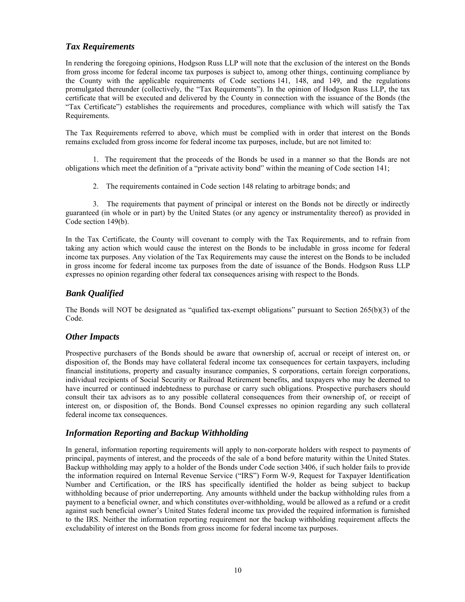## *Tax Requirements*

In rendering the foregoing opinions, Hodgson Russ LLP will note that the exclusion of the interest on the Bonds from gross income for federal income tax purposes is subject to, among other things, continuing compliance by the County with the applicable requirements of Code sections 141, 148, and 149, and the regulations promulgated thereunder (collectively, the "Tax Requirements"). In the opinion of Hodgson Russ LLP, the tax certificate that will be executed and delivered by the County in connection with the issuance of the Bonds (the "Tax Certificate") establishes the requirements and procedures, compliance with which will satisfy the Tax Requirements.

The Tax Requirements referred to above, which must be complied with in order that interest on the Bonds remains excluded from gross income for federal income tax purposes, include, but are not limited to:

1. The requirement that the proceeds of the Bonds be used in a manner so that the Bonds are not obligations which meet the definition of a "private activity bond" within the meaning of Code section 141;

2. The requirements contained in Code section 148 relating to arbitrage bonds; and

3. The requirements that payment of principal or interest on the Bonds not be directly or indirectly guaranteed (in whole or in part) by the United States (or any agency or instrumentality thereof) as provided in Code section 149(b).

In the Tax Certificate, the County will covenant to comply with the Tax Requirements, and to refrain from taking any action which would cause the interest on the Bonds to be includable in gross income for federal income tax purposes. Any violation of the Tax Requirements may cause the interest on the Bonds to be included in gross income for federal income tax purposes from the date of issuance of the Bonds. Hodgson Russ LLP expresses no opinion regarding other federal tax consequences arising with respect to the Bonds.

## *Bank Qualified*

The Bonds will NOT be designated as "qualified tax-exempt obligations" pursuant to Section 265(b)(3) of the Code.

## *Other Impacts*

Prospective purchasers of the Bonds should be aware that ownership of, accrual or receipt of interest on, or disposition of, the Bonds may have collateral federal income tax consequences for certain taxpayers, including financial institutions, property and casualty insurance companies, S corporations, certain foreign corporations, individual recipients of Social Security or Railroad Retirement benefits, and taxpayers who may be deemed to have incurred or continued indebtedness to purchase or carry such obligations. Prospective purchasers should consult their tax advisors as to any possible collateral consequences from their ownership of, or receipt of interest on, or disposition of, the Bonds. Bond Counsel expresses no opinion regarding any such collateral federal income tax consequences.

## *Information Reporting and Backup Withholding*

In general, information reporting requirements will apply to non-corporate holders with respect to payments of principal, payments of interest, and the proceeds of the sale of a bond before maturity within the United States. Backup withholding may apply to a holder of the Bonds under Code section 3406, if such holder fails to provide the information required on Internal Revenue Service ("IRS") Form W-9, Request for Taxpayer Identification Number and Certification, or the IRS has specifically identified the holder as being subject to backup withholding because of prior underreporting. Any amounts withheld under the backup withholding rules from a payment to a beneficial owner, and which constitutes over-withholding, would be allowed as a refund or a credit against such beneficial owner's United States federal income tax provided the required information is furnished to the IRS. Neither the information reporting requirement nor the backup withholding requirement affects the excludability of interest on the Bonds from gross income for federal income tax purposes.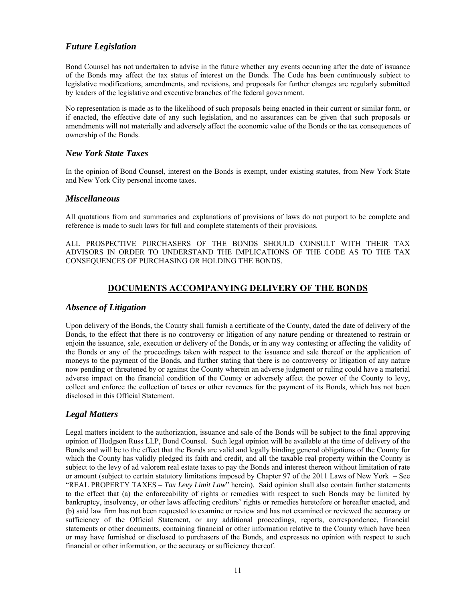## *Future Legislation*

Bond Counsel has not undertaken to advise in the future whether any events occurring after the date of issuance of the Bonds may affect the tax status of interest on the Bonds. The Code has been continuously subject to legislative modifications, amendments, and revisions, and proposals for further changes are regularly submitted by leaders of the legislative and executive branches of the federal government.

No representation is made as to the likelihood of such proposals being enacted in their current or similar form, or if enacted, the effective date of any such legislation, and no assurances can be given that such proposals or amendments will not materially and adversely affect the economic value of the Bonds or the tax consequences of ownership of the Bonds.

### *New York State Taxes*

In the opinion of Bond Counsel, interest on the Bonds is exempt, under existing statutes, from New York State and New York City personal income taxes.

### *Miscellaneous*

All quotations from and summaries and explanations of provisions of laws do not purport to be complete and reference is made to such laws for full and complete statements of their provisions.

ALL PROSPECTIVE PURCHASERS OF THE BONDS SHOULD CONSULT WITH THEIR TAX ADVISORS IN ORDER TO UNDERSTAND THE IMPLICATIONS OF THE CODE AS TO THE TAX CONSEQUENCES OF PURCHASING OR HOLDING THE BONDS.

## **DOCUMENTS ACCOMPANYING DELIVERY OF THE BONDS**

## *Absence of Litigation*

Upon delivery of the Bonds, the County shall furnish a certificate of the County, dated the date of delivery of the Bonds, to the effect that there is no controversy or litigation of any nature pending or threatened to restrain or enjoin the issuance, sale, execution or delivery of the Bonds, or in any way contesting or affecting the validity of the Bonds or any of the proceedings taken with respect to the issuance and sale thereof or the application of moneys to the payment of the Bonds, and further stating that there is no controversy or litigation of any nature now pending or threatened by or against the County wherein an adverse judgment or ruling could have a material adverse impact on the financial condition of the County or adversely affect the power of the County to levy, collect and enforce the collection of taxes or other revenues for the payment of its Bonds, which has not been disclosed in this Official Statement.

## *Legal Matters*

Legal matters incident to the authorization, issuance and sale of the Bonds will be subject to the final approving opinion of Hodgson Russ LLP, Bond Counsel. Such legal opinion will be available at the time of delivery of the Bonds and will be to the effect that the Bonds are valid and legally binding general obligations of the County for which the County has validly pledged its faith and credit, and all the taxable real property within the County is subject to the levy of ad valorem real estate taxes to pay the Bonds and interest thereon without limitation of rate or amount (subject to certain statutory limitations imposed by Chapter 97 of the 2011 Laws of New York – See "REAL PROPERTY TAXES – *Tax Levy Limit Law*" herein). Said opinion shall also contain further statements to the effect that (a) the enforceability of rights or remedies with respect to such Bonds may be limited by bankruptcy, insolvency, or other laws affecting creditors' rights or remedies heretofore or hereafter enacted, and (b) said law firm has not been requested to examine or review and has not examined or reviewed the accuracy or sufficiency of the Official Statement, or any additional proceedings, reports, correspondence, financial statements or other documents, containing financial or other information relative to the County which have been or may have furnished or disclosed to purchasers of the Bonds, and expresses no opinion with respect to such financial or other information, or the accuracy or sufficiency thereof.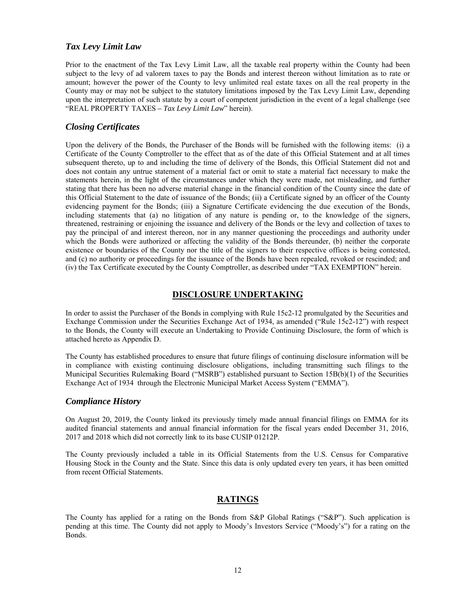### *Tax Levy Limit Law*

Prior to the enactment of the Tax Levy Limit Law, all the taxable real property within the County had been subject to the levy of ad valorem taxes to pay the Bonds and interest thereon without limitation as to rate or amount; however the power of the County to levy unlimited real estate taxes on all the real property in the County may or may not be subject to the statutory limitations imposed by the Tax Levy Limit Law, depending upon the interpretation of such statute by a court of competent jurisdiction in the event of a legal challenge (see "REAL PROPERTY TAXES *– Tax Levy Limit Law*" herein).

### *Closing Certificates*

Upon the delivery of the Bonds, the Purchaser of the Bonds will be furnished with the following items: (i) a Certificate of the County Comptroller to the effect that as of the date of this Official Statement and at all times subsequent thereto, up to and including the time of delivery of the Bonds, this Official Statement did not and does not contain any untrue statement of a material fact or omit to state a material fact necessary to make the statements herein, in the light of the circumstances under which they were made, not misleading, and further stating that there has been no adverse material change in the financial condition of the County since the date of this Official Statement to the date of issuance of the Bonds; (ii) a Certificate signed by an officer of the County evidencing payment for the Bonds; (iii) a Signature Certificate evidencing the due execution of the Bonds, including statements that (a) no litigation of any nature is pending or, to the knowledge of the signers, threatened, restraining or enjoining the issuance and delivery of the Bonds or the levy and collection of taxes to pay the principal of and interest thereon, nor in any manner questioning the proceedings and authority under which the Bonds were authorized or affecting the validity of the Bonds thereunder, (b) neither the corporate existence or boundaries of the County nor the title of the signers to their respective offices is being contested, and (c) no authority or proceedings for the issuance of the Bonds have been repealed, revoked or rescinded; and (iv) the Tax Certificate executed by the County Comptroller, as described under "TAX EXEMPTION" herein.

### **DISCLOSURE UNDERTAKING**

In order to assist the Purchaser of the Bonds in complying with Rule 15c2-12 promulgated by the Securities and Exchange Commission under the Securities Exchange Act of 1934, as amended ("Rule 15c2-12") with respect to the Bonds, the County will execute an Undertaking to Provide Continuing Disclosure, the form of which is attached hereto as Appendix D.

The County has established procedures to ensure that future filings of continuing disclosure information will be in compliance with existing continuing disclosure obligations, including transmitting such filings to the Municipal Securities Rulemaking Board ("MSRB") established pursuant to Section 15B(b)(1) of the Securities Exchange Act of 1934 through the Electronic Municipal Market Access System ("EMMA").

### *Compliance History*

On August 20, 2019, the County linked its previously timely made annual financial filings on EMMA for its audited financial statements and annual financial information for the fiscal years ended December 31, 2016, 2017 and 2018 which did not correctly link to its base CUSIP 01212P.

The County previously included a table in its Official Statements from the U.S. Census for Comparative Housing Stock in the County and the State. Since this data is only updated every ten years, it has been omitted from recent Official Statements.

### **RATINGS**

The County has applied for a rating on the Bonds from S&P Global Ratings ("S&P"). Such application is pending at this time. The County did not apply to Moody's Investors Service ("Moody's") for a rating on the Bonds.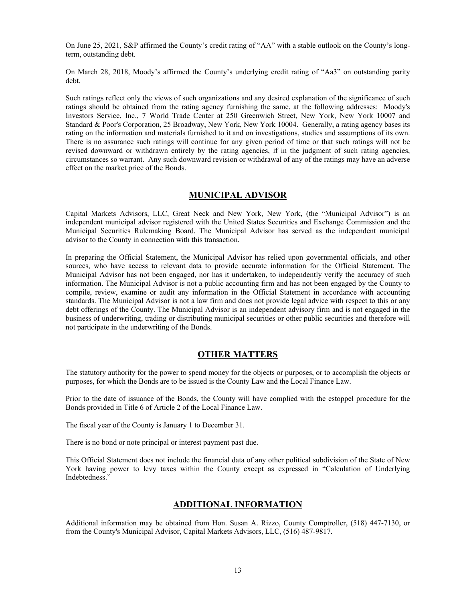On June 25, 2021, S&P affirmed the County's credit rating of "AA" with a stable outlook on the County's longterm, outstanding debt.

On March 28, 2018, Moody's affirmed the County's underlying credit rating of "Aa3" on outstanding parity debt.

Such ratings reflect only the views of such organizations and any desired explanation of the significance of such ratings should be obtained from the rating agency furnishing the same, at the following addresses: Moody's Investors Service, Inc., 7 World Trade Center at 250 Greenwich Street, New York, New York 10007 and Standard & Poor's Corporation, 25 Broadway, New York, New York 10004. Generally, a rating agency bases its rating on the information and materials furnished to it and on investigations, studies and assumptions of its own. There is no assurance such ratings will continue for any given period of time or that such ratings will not be revised downward or withdrawn entirely by the rating agencies, if in the judgment of such rating agencies, circumstances so warrant. Any such downward revision or withdrawal of any of the ratings may have an adverse effect on the market price of the Bonds.

## **MUNICIPAL ADVISOR**

Capital Markets Advisors, LLC, Great Neck and New York, New York, (the "Municipal Advisor") is an independent municipal advisor registered with the United States Securities and Exchange Commission and the Municipal Securities Rulemaking Board. The Municipal Advisor has served as the independent municipal advisor to the County in connection with this transaction.

In preparing the Official Statement, the Municipal Advisor has relied upon governmental officials, and other sources, who have access to relevant data to provide accurate information for the Official Statement. The Municipal Advisor has not been engaged, nor has it undertaken, to independently verify the accuracy of such information. The Municipal Advisor is not a public accounting firm and has not been engaged by the County to compile, review, examine or audit any information in the Official Statement in accordance with accounting standards. The Municipal Advisor is not a law firm and does not provide legal advice with respect to this or any debt offerings of the County. The Municipal Advisor is an independent advisory firm and is not engaged in the business of underwriting, trading or distributing municipal securities or other public securities and therefore will not participate in the underwriting of the Bonds.

### **OTHER MATTERS**

The statutory authority for the power to spend money for the objects or purposes, or to accomplish the objects or purposes, for which the Bonds are to be issued is the County Law and the Local Finance Law.

Prior to the date of issuance of the Bonds, the County will have complied with the estoppel procedure for the Bonds provided in Title 6 of Article 2 of the Local Finance Law.

The fiscal year of the County is January 1 to December 31.

There is no bond or note principal or interest payment past due.

This Official Statement does not include the financial data of any other political subdivision of the State of New York having power to levy taxes within the County except as expressed in "Calculation of Underlying Indebtedness."

### **ADDITIONAL INFORMATION**

Additional information may be obtained from Hon. Susan A. Rizzo, County Comptroller, (518) 447-7130, or from the County's Municipal Advisor, Capital Markets Advisors, LLC, (516) 487-9817.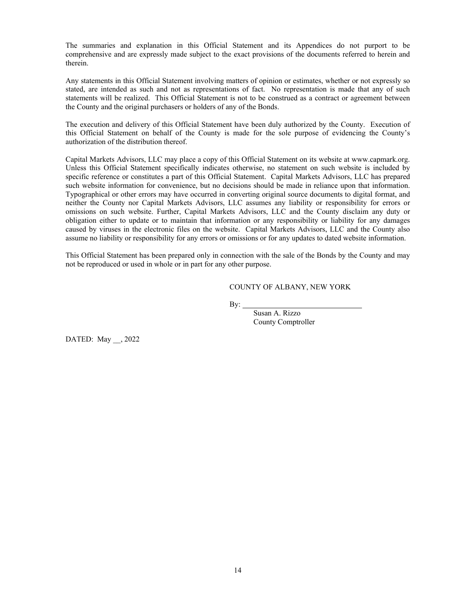The summaries and explanation in this Official Statement and its Appendices do not purport to be comprehensive and are expressly made subject to the exact provisions of the documents referred to herein and therein.

Any statements in this Official Statement involving matters of opinion or estimates, whether or not expressly so stated, are intended as such and not as representations of fact. No representation is made that any of such statements will be realized. This Official Statement is not to be construed as a contract or agreement between the County and the original purchasers or holders of any of the Bonds.

The execution and delivery of this Official Statement have been duly authorized by the County. Execution of this Official Statement on behalf of the County is made for the sole purpose of evidencing the County's authorization of the distribution thereof.

Capital Markets Advisors, LLC may place a copy of this Official Statement on its website at www.capmark.org. Unless this Official Statement specifically indicates otherwise, no statement on such website is included by specific reference or constitutes a part of this Official Statement. Capital Markets Advisors, LLC has prepared such website information for convenience, but no decisions should be made in reliance upon that information. Typographical or other errors may have occurred in converting original source documents to digital format, and neither the County nor Capital Markets Advisors, LLC assumes any liability or responsibility for errors or omissions on such website. Further, Capital Markets Advisors, LLC and the County disclaim any duty or obligation either to update or to maintain that information or any responsibility or liability for any damages caused by viruses in the electronic files on the website. Capital Markets Advisors, LLC and the County also assume no liability or responsibility for any errors or omissions or for any updates to dated website information.

This Official Statement has been prepared only in connection with the sale of the Bonds by the County and may not be reproduced or used in whole or in part for any other purpose.

#### COUNTY OF ALBANY, NEW YORK

By:

Susan A. Rizzo County Comptroller

DATED: May \_\_, 2022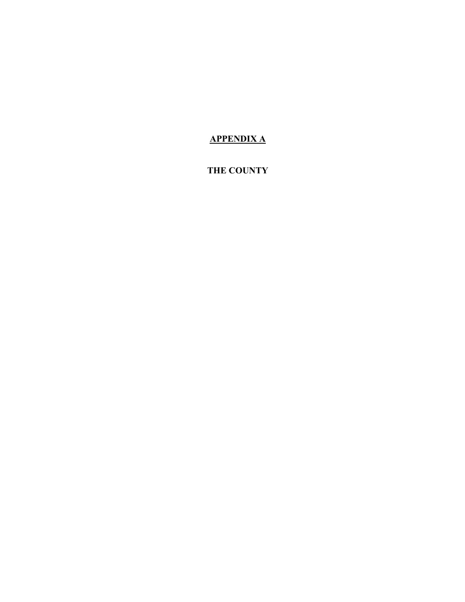# **APPENDIX A**

# **THE COUNTY**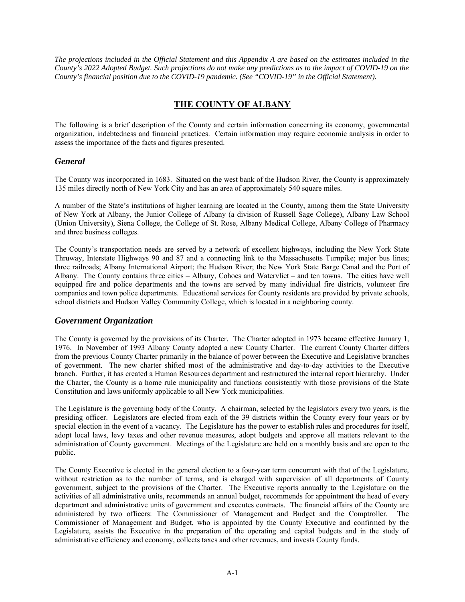*The projections included in the Official Statement and this Appendix A are based on the estimates included in the County's 2022 Adopted Budget. Such projections do not make any predictions as to the impact of COVID-19 on the County's financial position due to the COVID-19 pandemic. (See "COVID-19" in the Official Statement).* 

## **THE COUNTY OF ALBANY**

The following is a brief description of the County and certain information concerning its economy, governmental organization, indebtedness and financial practices. Certain information may require economic analysis in order to assess the importance of the facts and figures presented.

## *General*

The County was incorporated in 1683. Situated on the west bank of the Hudson River, the County is approximately 135 miles directly north of New York City and has an area of approximately 540 square miles.

A number of the State's institutions of higher learning are located in the County, among them the State University of New York at Albany, the Junior College of Albany (a division of Russell Sage College), Albany Law School (Union University), Siena College, the College of St. Rose, Albany Medical College, Albany College of Pharmacy and three business colleges.

The County's transportation needs are served by a network of excellent highways, including the New York State Thruway, Interstate Highways 90 and 87 and a connecting link to the Massachusetts Turnpike; major bus lines; three railroads; Albany International Airport; the Hudson River; the New York State Barge Canal and the Port of Albany. The County contains three cities – Albany, Cohoes and Watervliet – and ten towns. The cities have well equipped fire and police departments and the towns are served by many individual fire districts, volunteer fire companies and town police departments. Educational services for County residents are provided by private schools, school districts and Hudson Valley Community College, which is located in a neighboring county.

## *Government Organization*

The County is governed by the provisions of its Charter. The Charter adopted in 1973 became effective January 1, 1976. In November of 1993 Albany County adopted a new County Charter. The current County Charter differs from the previous County Charter primarily in the balance of power between the Executive and Legislative branches of government. The new charter shifted most of the administrative and day-to-day activities to the Executive branch. Further, it has created a Human Resources department and restructured the internal report hierarchy. Under the Charter, the County is a home rule municipality and functions consistently with those provisions of the State Constitution and laws uniformly applicable to all New York municipalities.

The Legislature is the governing body of the County. A chairman, selected by the legislators every two years, is the presiding officer. Legislators are elected from each of the 39 districts within the County every four years or by special election in the event of a vacancy. The Legislature has the power to establish rules and procedures for itself, adopt local laws, levy taxes and other revenue measures, adopt budgets and approve all matters relevant to the administration of County government. Meetings of the Legislature are held on a monthly basis and are open to the public.

The County Executive is elected in the general election to a four-year term concurrent with that of the Legislature, without restriction as to the number of terms, and is charged with supervision of all departments of County government, subject to the provisions of the Charter. The Executive reports annually to the Legislature on the activities of all administrative units, recommends an annual budget, recommends for appointment the head of every department and administrative units of government and executes contracts. The financial affairs of the County are administered by two officers: The Commissioner of Management and Budget and the Comptroller. The Commissioner of Management and Budget, who is appointed by the County Executive and confirmed by the Legislature, assists the Executive in the preparation of the operating and capital budgets and in the study of administrative efficiency and economy, collects taxes and other revenues, and invests County funds.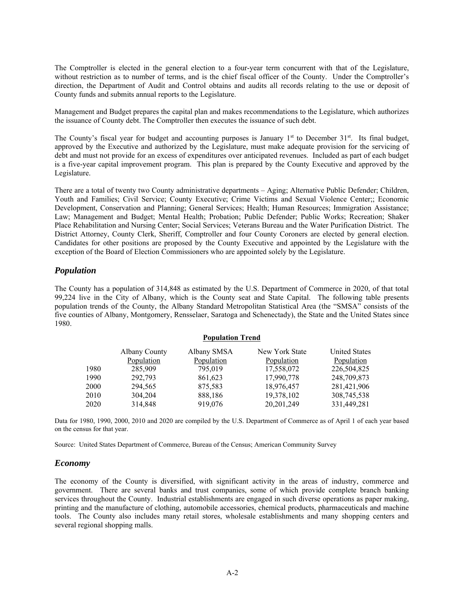The Comptroller is elected in the general election to a four-year term concurrent with that of the Legislature, without restriction as to number of terms, and is the chief fiscal officer of the County. Under the Comptroller's direction, the Department of Audit and Control obtains and audits all records relating to the use or deposit of County funds and submits annual reports to the Legislature.

Management and Budget prepares the capital plan and makes recommendations to the Legislature, which authorizes the issuance of County debt. The Comptroller then executes the issuance of such debt.

The County's fiscal year for budget and accounting purposes is January  $1<sup>st</sup>$  to December  $31<sup>st</sup>$ . Its final budget, approved by the Executive and authorized by the Legislature, must make adequate provision for the servicing of debt and must not provide for an excess of expenditures over anticipated revenues. Included as part of each budget is a five-year capital improvement program. This plan is prepared by the County Executive and approved by the Legislature.

There are a total of twenty two County administrative departments – Aging; Alternative Public Defender; Children, Youth and Families; Civil Service; County Executive; Crime Victims and Sexual Violence Center;; Economic Development, Conservation and Planning; General Services; Health; Human Resources; Immigration Assistance; Law; Management and Budget; Mental Health; Probation; Public Defender; Public Works; Recreation; Shaker Place Rehabilitation and Nursing Center; Social Services; Veterans Bureau and the Water Purification District. The District Attorney, County Clerk, Sheriff, Comptroller and four County Coroners are elected by general election. Candidates for other positions are proposed by the County Executive and appointed by the Legislature with the exception of the Board of Election Commissioners who are appointed solely by the Legislature.

### *Population*

The County has a population of 314,848 as estimated by the U.S. Department of Commerce in 2020, of that total 99,224 live in the City of Albany, which is the County seat and State Capital. The following table presents population trends of the County, the Albany Standard Metropolitan Statistical Area (the "SMSA" consists of the five counties of Albany, Montgomery, Rensselaer, Saratoga and Schenectady), the State and the United States since 1980.

| <b>Population Trend</b>                                            |  |  |  |  |  |  |
|--------------------------------------------------------------------|--|--|--|--|--|--|
| New York State<br><b>United States</b><br>Population<br>Population |  |  |  |  |  |  |
| 226,504,825<br>17,558,072                                          |  |  |  |  |  |  |
| 248,709,873<br>17,990,778                                          |  |  |  |  |  |  |
| 281,421,906<br>18,976,457                                          |  |  |  |  |  |  |
| 308,745,538<br>19,378,102<br>331,449,281<br>20, 201, 249           |  |  |  |  |  |  |
|                                                                    |  |  |  |  |  |  |

Data for 1980, 1990, 2000, 2010 and 2020 are compiled by the U.S. Department of Commerce as of April 1 of each year based on the census for that year.

Source: United States Department of Commerce, Bureau of the Census; American Community Survey

### *Economy*

The economy of the County is diversified, with significant activity in the areas of industry, commerce and government. There are several banks and trust companies, some of which provide complete branch banking services throughout the County. Industrial establishments are engaged in such diverse operations as paper making, printing and the manufacture of clothing, automobile accessories, chemical products, pharmaceuticals and machine tools. The County also includes many retail stores, wholesale establishments and many shopping centers and several regional shopping malls.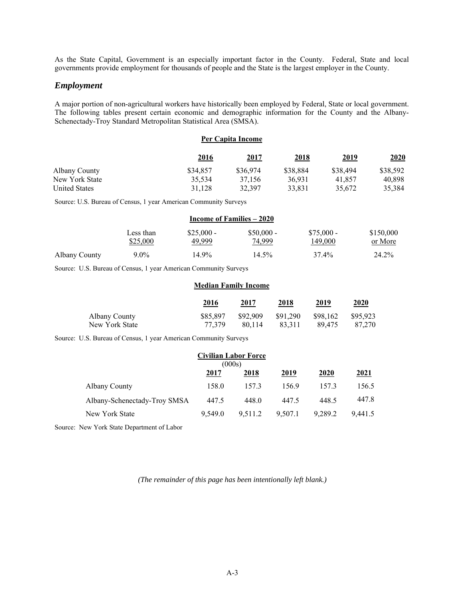As the State Capital, Government is an especially important factor in the County. Federal, State and local governments provide employment for thousands of people and the State is the largest employer in the County.

### *Employment*

A major portion of non-agricultural workers have historically been employed by Federal, State or local government. The following tables present certain economic and demographic information for the County and the Albany-Schenectady-Troy Standard Metropolitan Statistical Area (SMSA).

#### **Per Capita Income**

|                      | <u>2016</u> | <u>2017</u> | <u>2018</u> | <u>2019</u> | 2020     |
|----------------------|-------------|-------------|-------------|-------------|----------|
| Albany County        | \$34,857    | \$36,974    | \$38,884    | \$38,494    | \$38,592 |
| New York State       | 35,534      | 37.156      | 36.931      | 41.857      | 40.898   |
| <b>United States</b> | 31.128      | 32,397      | 33.831      | 35,672      | 35,384   |

Source: U.S. Bureau of Census, 1 year American Community Surveys

|               | Income of Families – 2020 |             |             |             |           |  |
|---------------|---------------------------|-------------|-------------|-------------|-----------|--|
|               | Less than                 | $$25,000 -$ | $$50,000 -$ | $$75.000 -$ | \$150,000 |  |
|               | \$25,000                  | 49.999      | 74,999      | 149.000     | or More   |  |
| Albany County | $9.0\%$                   | 14.9%       | 14.5%       | 37.4%       | 24.2%     |  |

Source: U.S. Bureau of Census, 1 year American Community Surveys

#### **Median Family Income**

|                | 2016<br>$\sim$ $\sim$ | 2017     | 2018     | 2019     | 2020     |
|----------------|-----------------------|----------|----------|----------|----------|
| Albany County  | \$85.897              | \$92,909 | \$91,290 | \$98.162 | \$95,923 |
| New York State | 77.379                | 80.114   | 83.311   | 89.475   | 87,270   |

Source: U.S. Bureau of Census, 1 year American Community Surveys

| <b>Civilian Labor Force</b><br>(000s) |         |         |         |         |         |
|---------------------------------------|---------|---------|---------|---------|---------|
|                                       | 2017    | 2018    | 2019    | 2020    | 2021    |
| Albany County                         | 158.0   | 157.3   | 156.9   | 157.3   | 156.5   |
| Albany-Schenectady-Troy SMSA          | 447.5   | 448.0   | 447.5   | 448.5   | 447.8   |
| New York State                        | 9.549.0 | 9.511.2 | 9.507.1 | 9.289.2 | 9.441.5 |

Source: New York State Department of Labor

*(The remainder of this page has been intentionally left blank.)*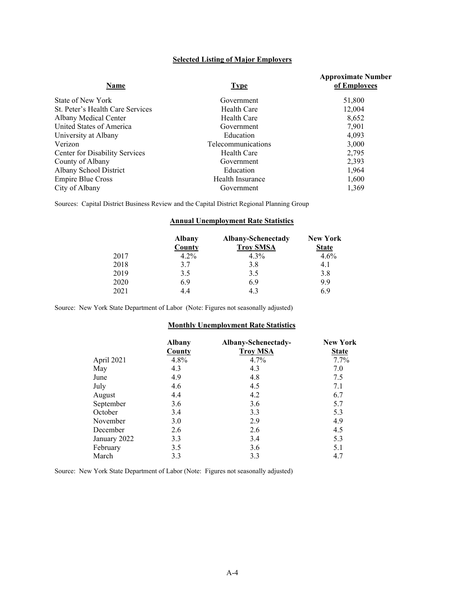### **Selected Listing of Major Employers**

| Name                                  | <b>Type</b>        | <b>Approximate Number</b><br>of Employees |
|---------------------------------------|--------------------|-------------------------------------------|
| State of New York                     | Government         | 51,800                                    |
| St. Peter's Health Care Services      | Health Care        | 12,004                                    |
| Albany Medical Center                 | Health Care        | 8,652                                     |
| United States of America              | Government         | 7,901                                     |
| University at Albany                  | Education          | 4.093                                     |
| Verizon                               | Telecommunications | 3,000                                     |
| <b>Center for Disability Services</b> | Health Care        | 2,795                                     |
| County of Albany                      | Government         | 2,393                                     |
| Albany School District                | Education          | 1,964                                     |
| <b>Empire Blue Cross</b>              | Health Insurance   | 1,600                                     |
| City of Albany                        | Government         | 1.369                                     |

Sources: Capital District Business Review and the Capital District Regional Planning Group

#### **Annual Unemployment Rate Statistics**

|      | <b>Albany</b> | Albany-Schenectady | <b>New York</b> |
|------|---------------|--------------------|-----------------|
|      | County        | <b>Troy SMSA</b>   | <b>State</b>    |
| 2017 | $4.2\%$       | $4.3\%$            | $4.6\%$         |
| 2018 | 3.7           | 3.8                | 4.1             |
| 2019 | 3.5           | 3.5                | 3.8             |
| 2020 | 6.9           | 6.9                | 9.9             |
| 2021 | 4.4           | 4.3                | 6.9             |

Source: New York State Department of Labor (Note: Figures not seasonally adjusted)

#### **Monthly Unemployment Rate Statistics**

|              | <b>Albany</b> | Albany-Schenectady- | <b>New York</b> |
|--------------|---------------|---------------------|-----------------|
|              | County        | <b>Troy MSA</b>     | <b>State</b>    |
| April 2021   | 4.8%          | 4.7%                | $7.7\%$         |
| May          | 4.3           | 4.3                 | 7.0             |
| June         | 4.9           | 4.8                 | 7.5             |
| July         | 4.6           | 4.5                 | 7.1             |
| August       | 4.4           | 4.2                 | 6.7             |
| September    | 3.6           | 3.6                 | 5.7             |
| October      | 3.4           | 3.3                 | 5.3             |
| November     | 3.0           | 2.9                 | 4.9             |
| December     | 2.6           | 2.6                 | 4.5             |
| January 2022 | 3.3           | 3.4                 | 5.3             |
| February     | 3.5           | 3.6                 | 5.1             |
| March        | 3.3           | 3.3                 | 4.7             |

Source: New York State Department of Labor (Note: Figures not seasonally adjusted)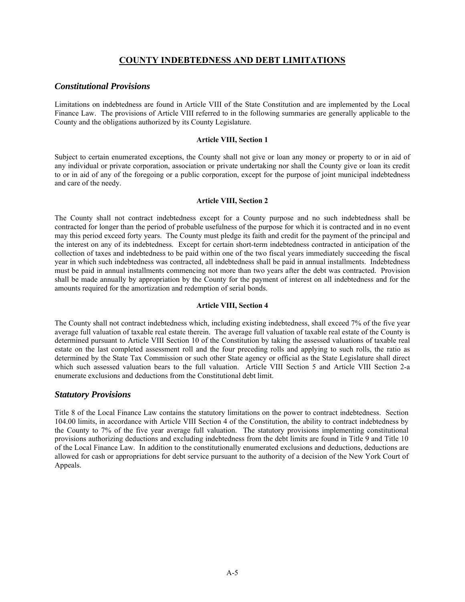## **COUNTY INDEBTEDNESS AND DEBT LIMITATIONS**

### *Constitutional Provisions*

Limitations on indebtedness are found in Article VIII of the State Constitution and are implemented by the Local Finance Law. The provisions of Article VIII referred to in the following summaries are generally applicable to the County and the obligations authorized by its County Legislature.

#### **Article VIII, Section 1**

Subject to certain enumerated exceptions, the County shall not give or loan any money or property to or in aid of any individual or private corporation, association or private undertaking nor shall the County give or loan its credit to or in aid of any of the foregoing or a public corporation, except for the purpose of joint municipal indebtedness and care of the needy.

#### **Article VIII, Section 2**

The County shall not contract indebtedness except for a County purpose and no such indebtedness shall be contracted for longer than the period of probable usefulness of the purpose for which it is contracted and in no event may this period exceed forty years. The County must pledge its faith and credit for the payment of the principal and the interest on any of its indebtedness. Except for certain short-term indebtedness contracted in anticipation of the collection of taxes and indebtedness to be paid within one of the two fiscal years immediately succeeding the fiscal year in which such indebtedness was contracted, all indebtedness shall be paid in annual installments. Indebtedness must be paid in annual installments commencing not more than two years after the debt was contracted. Provision shall be made annually by appropriation by the County for the payment of interest on all indebtedness and for the amounts required for the amortization and redemption of serial bonds.

## **Article VIII, Section 4**

The County shall not contract indebtedness which, including existing indebtedness, shall exceed 7% of the five year average full valuation of taxable real estate therein. The average full valuation of taxable real estate of the County is determined pursuant to Article VIII Section 10 of the Constitution by taking the assessed valuations of taxable real estate on the last completed assessment roll and the four preceding rolls and applying to such rolls, the ratio as determined by the State Tax Commission or such other State agency or official as the State Legislature shall direct which such assessed valuation bears to the full valuation. Article VIII Section 5 and Article VIII Section 2-a enumerate exclusions and deductions from the Constitutional debt limit.

### *Statutory Provisions*

Title 8 of the Local Finance Law contains the statutory limitations on the power to contract indebtedness. Section 104.00 limits, in accordance with Article VIII Section 4 of the Constitution, the ability to contract indebtedness by the County to 7% of the five year average full valuation. The statutory provisions implementing constitutional provisions authorizing deductions and excluding indebtedness from the debt limits are found in Title 9 and Title 10 of the Local Finance Law. In addition to the constitutionally enumerated exclusions and deductions, deductions are allowed for cash or appropriations for debt service pursuant to the authority of a decision of the New York Court of Appeals.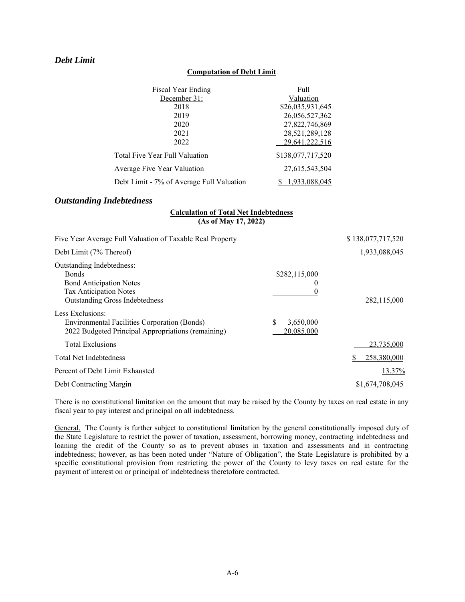## *Debt Limit*

#### **Computation of Debt Limit**

| Fiscal Year Ending                        | Full              |
|-------------------------------------------|-------------------|
| December 31:                              | Valuation         |
| 2018                                      | \$26,035,931,645  |
| 2019                                      | 26,056,527,362    |
| 2020                                      | 27,822,746,869    |
| 2021                                      | 28,521,289,128    |
| 2022                                      | 29,641,222,516    |
| Total Five Year Full Valuation            | \$138,077,717,520 |
| Average Five Year Valuation               | 27,615,543,504    |
| Debt Limit - 7% of Average Full Valuation | 1,933,088,045     |

## *Outstanding Indebtedness*

### **Calculation of Total Net Indebtedness (As of May 17, 2022)**

| Five Year Average Full Valuation of Taxable Real Property                                                                                             |                              | \$138,077,717,520 |
|-------------------------------------------------------------------------------------------------------------------------------------------------------|------------------------------|-------------------|
| Debt Limit (7% Thereof)                                                                                                                               |                              | 1,933,088,045     |
| Outstanding Indebtedness:<br><b>Bonds</b><br><b>Bond Anticipation Notes</b><br><b>Tax Anticipation Notes</b><br><b>Outstanding Gross Indebtedness</b> | \$282,115,000<br>O           | 282,115,000       |
| Less Exclusions:<br>Environmental Facilities Corporation (Bonds)<br>2022 Budgeted Principal Appropriations (remaining)                                | S<br>3,650,000<br>20,085,000 |                   |
| <b>Total Exclusions</b>                                                                                                                               |                              | 23,735,000        |
| <b>Total Net Indebtedness</b>                                                                                                                         |                              | 258,380,000       |
| Percent of Debt Limit Exhausted                                                                                                                       |                              | 13.37%            |
| Debt Contracting Margin                                                                                                                               |                              | \$1,674,708,045   |

There is no constitutional limitation on the amount that may be raised by the County by taxes on real estate in any fiscal year to pay interest and principal on all indebtedness.

General. The County is further subject to constitutional limitation by the general constitutionally imposed duty of the State Legislature to restrict the power of taxation, assessment, borrowing money, contracting indebtedness and loaning the credit of the County so as to prevent abuses in taxation and assessments and in contracting indebtedness; however, as has been noted under "Nature of Obligation", the State Legislature is prohibited by a specific constitutional provision from restricting the power of the County to levy taxes on real estate for the payment of interest on or principal of indebtedness theretofore contracted.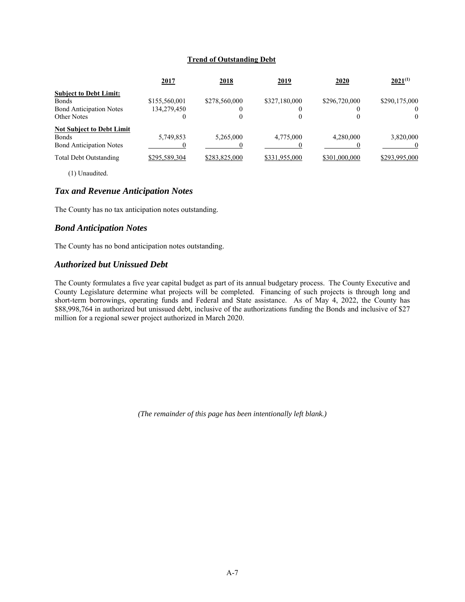### **Trend of Outstanding Debt**

|                                  | 2017          | <u>2018</u>   | <u>2019</u>   | <u>2020</u>   | $2021^{(1)}$  |
|----------------------------------|---------------|---------------|---------------|---------------|---------------|
| <b>Subject to Debt Limit:</b>    |               |               |               |               |               |
| <b>Bonds</b>                     | \$155,560,001 | \$278,560,000 | \$327,180,000 | \$296,720,000 | \$290,175,000 |
| <b>Bond Anticipation Notes</b>   | 134,279,450   |               |               |               | $\theta$      |
| Other Notes                      | $^{()}$       | 0             |               |               | $\theta$      |
| <b>Not Subject to Debt Limit</b> |               |               |               |               |               |
| <b>Bonds</b>                     | 5,749,853     | 5,265,000     | 4,775,000     | 4,280,000     | 3,820,000     |
| <b>Bond Anticipation Notes</b>   |               |               |               |               |               |
| Total Debt Outstanding           | \$295,589,304 | \$283,825,000 | \$331,955,000 | \$301,000,000 | \$293,995,000 |

(1) Unaudited.

### *Tax and Revenue Anticipation Notes*

The County has no tax anticipation notes outstanding.

### *Bond Anticipation Notes*

The County has no bond anticipation notes outstanding.

## *Authorized but Unissued Debt*

The County formulates a five year capital budget as part of its annual budgetary process. The County Executive and County Legislature determine what projects will be completed. Financing of such projects is through long and short-term borrowings, operating funds and Federal and State assistance. As of May 4, 2022, the County has \$88,998,764 in authorized but unissued debt, inclusive of the authorizations funding the Bonds and inclusive of \$27 million for a regional sewer project authorized in March 2020.

*(The remainder of this page has been intentionally left blank.)*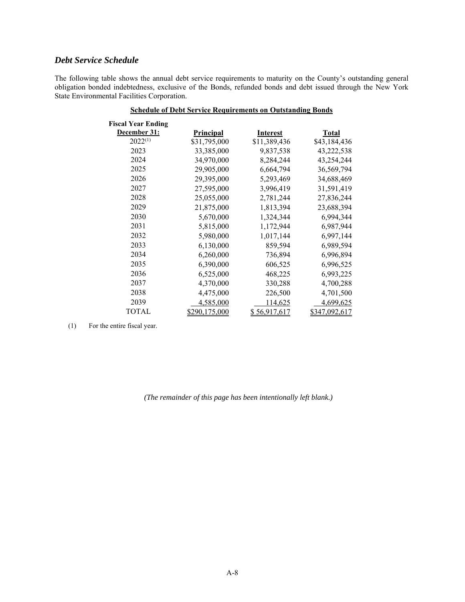## *Debt Service Schedule*

The following table shows the annual debt service requirements to maturity on the County's outstanding general obligation bonded indebtedness, exclusive of the Bonds, refunded bonds and debt issued through the New York State Environmental Facilities Corporation.

| <b>Schedule of Debt Service Requirements on Outstanding Bonds</b> |                      |                 |                      |  |
|-------------------------------------------------------------------|----------------------|-----------------|----------------------|--|
| <b>Fiscal Year Ending</b><br>December 31:                         | <b>Principal</b>     | <b>Interest</b> | <b>Total</b>         |  |
| $2022^{(1)}$                                                      | \$31,795,000         | \$11,389,436    | \$43,184,436         |  |
| 2023                                                              | 33,385,000           | 9,837,538       | 43,222,538           |  |
| 2024                                                              | 34,970,000           | 8,284,244       | 43,254,244           |  |
| 2025                                                              | 29,905,000           | 6,664,794       | 36,569,794           |  |
| 2026                                                              | 29,395,000           | 5,293,469       | 34,688,469           |  |
| 2027                                                              | 27,595,000           | 3,996,419       | 31,591,419           |  |
| 2028                                                              | 25,055,000           | 2,781,244       | 27,836,244           |  |
| 2029                                                              | 21,875,000           | 1,813,394       | 23,688,394           |  |
| 2030                                                              | 5,670,000            | 1,324,344       | 6,994,344            |  |
| 2031                                                              | 5,815,000            | 1,172,944       | 6,987,944            |  |
| 2032                                                              | 5,980,000            | 1,017,144       | 6,997,144            |  |
| 2033                                                              | 6,130,000            | 859,594         | 6,989,594            |  |
| 2034                                                              | 6,260,000            | 736,894         | 6,996,894            |  |
| 2035                                                              | 6,390,000            | 606,525         | 6,996,525            |  |
| 2036                                                              | 6,525,000            | 468,225         | 6,993,225            |  |
| 2037                                                              | 4,370,000            | 330,288         | 4,700,288            |  |
| 2038                                                              | 4,475,000            | 226,500         | 4,701,500            |  |
| 2039                                                              | 4,585,000            | 114,625         | 4,699,625            |  |
| <b>TOTAL</b>                                                      | <u>\$290,175,000</u> | \$56,917,617    | <u>\$347,092,617</u> |  |

(1) For the entire fiscal year.

*(The remainder of this page has been intentionally left blank.)*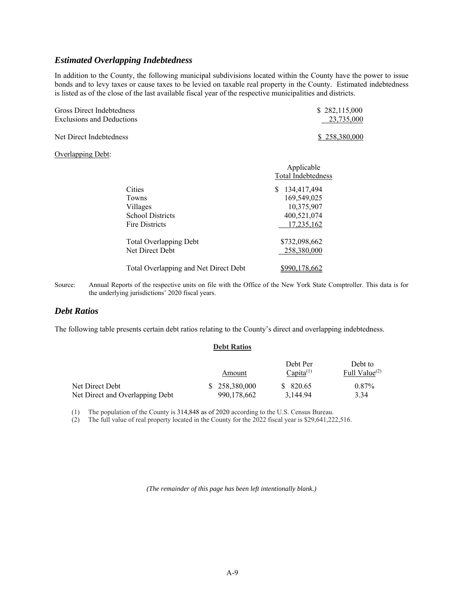### *Estimated Overlapping Indebtedness*

In addition to the County, the following municipal subdivisions located within the County have the power to issue bonds and to levy taxes or cause taxes to be levied on taxable real property in the County. Estimated indebtedness is listed as of the close of the last available fiscal year of the respective municipalities and districts.

| Gross Direct Indebtedness             | \$282,115,000      |
|---------------------------------------|--------------------|
| <b>Exclusions and Deductions</b>      | 23,735,000         |
| Net Direct Indebtedness               | \$258,380,000      |
| Overlapping Debt:                     |                    |
|                                       | Applicable         |
|                                       | Total Indebtedness |
| Cities                                | 134,417,494<br>S.  |
| Towns                                 | 169,549,025        |
| Villages                              | 10,375,907         |
| <b>School Districts</b>               | 400,521,074        |
| Fire Districts                        | 17,235,162         |
| <b>Total Overlapping Debt</b>         | \$732,098,662      |
| Net Direct Debt                       | 258,380,000        |
| Total Overlapping and Net Direct Debt | \$990,178,662      |

Source: Annual Reports of the respective units on file with the Office of the New York State Comptroller. This data is for the underlying jurisdictions' 2020 fiscal years.

## *Debt Ratios*

The following table presents certain debt ratios relating to the County's direct and overlapping indebtedness.

#### **Debt Ratios**

|                                 |               |             | Debt Per       | Debt to          |  |
|---------------------------------|---------------|-------------|----------------|------------------|--|
|                                 | Amount        |             | $Capita^{(1)}$ | Full Value $(2)$ |  |
| Net Direct Debt                 | \$258,380,000 |             | \$820.65       | $0.87\%$         |  |
| Net Direct and Overlapping Debt |               | 990.178.662 | 3.144.94       | 3.34             |  |

(1) The population of the County is 314,848 as of 2020 according to the U.S. Census Bureau.

(2) The full value of real property located in the County for the 2022 fiscal year is \$29,641,222,516.

*(The remainder of this page has been left intentionally blank.)*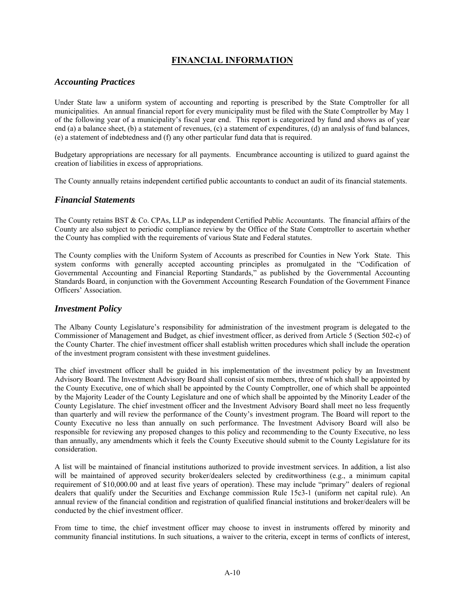## **FINANCIAL INFORMATION**

## *Accounting Practices*

Under State law a uniform system of accounting and reporting is prescribed by the State Comptroller for all municipalities. An annual financial report for every municipality must be filed with the State Comptroller by May 1 of the following year of a municipality's fiscal year end. This report is categorized by fund and shows as of year end (a) a balance sheet, (b) a statement of revenues, (c) a statement of expenditures, (d) an analysis of fund balances, (e) a statement of indebtedness and (f) any other particular fund data that is required.

Budgetary appropriations are necessary for all payments. Encumbrance accounting is utilized to guard against the creation of liabilities in excess of appropriations.

The County annually retains independent certified public accountants to conduct an audit of its financial statements.

### *Financial Statements*

The County retains BST & Co. CPAs, LLP as independent Certified Public Accountants. The financial affairs of the County are also subject to periodic compliance review by the Office of the State Comptroller to ascertain whether the County has complied with the requirements of various State and Federal statutes.

The County complies with the Uniform System of Accounts as prescribed for Counties in New York State. This system conforms with generally accepted accounting principles as promulgated in the "Codification of Governmental Accounting and Financial Reporting Standards," as published by the Governmental Accounting Standards Board, in conjunction with the Government Accounting Research Foundation of the Government Finance Officers' Association.

## *Investment Policy*

The Albany County Legislature's responsibility for administration of the investment program is delegated to the Commissioner of Management and Budget, as chief investment officer, as derived from Article 5 (Section 502-c) of the County Charter. The chief investment officer shall establish written procedures which shall include the operation of the investment program consistent with these investment guidelines.

The chief investment officer shall be guided in his implementation of the investment policy by an Investment Advisory Board. The Investment Advisory Board shall consist of six members, three of which shall be appointed by the County Executive, one of which shall be appointed by the County Comptroller, one of which shall be appointed by the Majority Leader of the County Legislature and one of which shall be appointed by the Minority Leader of the County Legislature. The chief investment officer and the Investment Advisory Board shall meet no less frequently than quarterly and will review the performance of the County's investment program. The Board will report to the County Executive no less than annually on such performance. The Investment Advisory Board will also be responsible for reviewing any proposed changes to this policy and recommending to the County Executive, no less than annually, any amendments which it feels the County Executive should submit to the County Legislature for its consideration.

A list will be maintained of financial institutions authorized to provide investment services. In addition, a list also will be maintained of approved security broker/dealers selected by creditworthiness (e.g., a minimum capital requirement of \$10,000.00 and at least five years of operation). These may include "primary" dealers of regional dealers that qualify under the Securities and Exchange commission Rule 15c3-1 (uniform net capital rule). An annual review of the financial condition and registration of qualified financial institutions and broker/dealers will be conducted by the chief investment officer.

From time to time, the chief investment officer may choose to invest in instruments offered by minority and community financial institutions. In such situations, a waiver to the criteria, except in terms of conflicts of interest,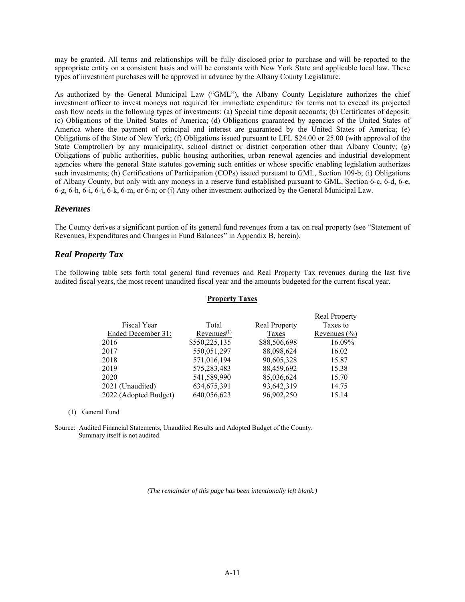may be granted. All terms and relationships will be fully disclosed prior to purchase and will be reported to the appropriate entity on a consistent basis and will be constants with New York State and applicable local law. These types of investment purchases will be approved in advance by the Albany County Legislature.

As authorized by the General Municipal Law ("GML"), the Albany County Legislature authorizes the chief investment officer to invest moneys not required for immediate expenditure for terms not to exceed its projected cash flow needs in the following types of investments: (a) Special time deposit accounts; (b) Certificates of deposit; (c) Obligations of the United States of America; (d) Obligations guaranteed by agencies of the United States of America where the payment of principal and interest are guaranteed by the United States of America; (e) Obligations of the State of New York; (f) Obligations issued pursuant to LFL S24.00 or 25.00 (with approval of the State Comptroller) by any municipality, school district or district corporation other than Albany County; (g) Obligations of public authorities, public housing authorities, urban renewal agencies and industrial development agencies where the general State statutes governing such entities or whose specific enabling legislation authorizes such investments; (h) Certifications of Participation (COPs) issued pursuant to GML, Section 109-b; (i) Obligations of Albany County, but only with any moneys in a reserve fund established pursuant to GML, Section 6-c, 6-d, 6-e, 6-g, 6-h, 6-i, 6-j, 6-k, 6-m, or 6-n; or (j) Any other investment authorized by the General Municipal Law.

### *Revenues*

The County derives a significant portion of its general fund revenues from a tax on real property (see "Statement of Revenues, Expenditures and Changes in Fund Balances" in Appendix B, herein).

### *Real Property Tax*

The following table sets forth total general fund revenues and Real Property Tax revenues during the last five audited fiscal years, the most recent unaudited fiscal year and the amounts budgeted for the current fiscal year.

#### **Property Taxes**

|                       |                         |               | <b>Real Property</b> |
|-----------------------|-------------------------|---------------|----------------------|
| Fiscal Year           | Total                   | Real Property | Taxes to             |
| Ended December 31:    | Revenues <sup>(1)</sup> | Taxes         | Revenues $(\% )$     |
| 2016                  | \$550,225,135           | \$88,506,698  | 16.09%               |
| 2017                  | 550,051,297             | 88,098,624    | 16.02                |
| 2018                  | 571,016,194             | 90,605,328    | 15.87                |
| 2019                  | 575,283,483             | 88,459,692    | 15.38                |
| 2020                  | 541,589,990             | 85,036,624    | 15.70                |
| 2021 (Unaudited)      | 634, 675, 391           | 93,642,319    | 14.75                |
| 2022 (Adopted Budget) | 640,056,623             | 96,902,250    | 15.14                |
|                       |                         |               |                      |

#### (1) General Fund

Source: Audited Financial Statements, Unaudited Results and Adopted Budget of the County. Summary itself is not audited.

*(The remainder of this page has been intentionally left blank.)*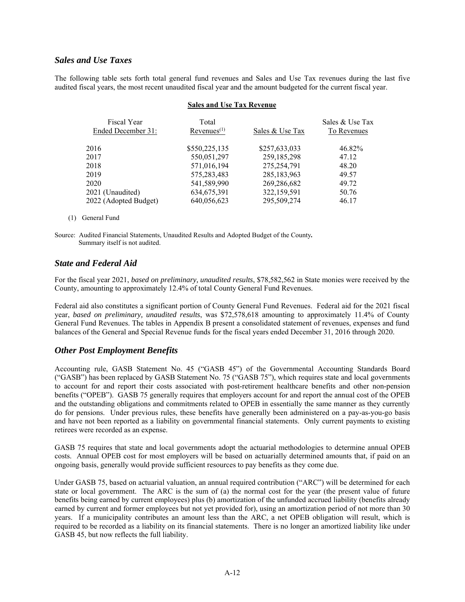## *Sales and Use Taxes*

The following table sets forth total general fund revenues and Sales and Use Tax revenues during the last five audited fiscal years, the most recent unaudited fiscal year and the amount budgeted for the current fiscal year.

#### **Sales and Use Tax Revenue**

| Fiscal Year<br>Ended December 31: | Total<br>Revenues <sup>(1)</sup> | Sales & Use Tax | Sales & Use Tax<br>To Revenues |
|-----------------------------------|----------------------------------|-----------------|--------------------------------|
| 2016                              | \$550,225,135                    | \$257,633,033   | 46.82%                         |
| 2017                              | 550,051,297                      | 259,185,298     | 47.12                          |
| 2018                              | 571,016,194                      | 275,254,791     | 48.20                          |
| 2019                              | 575,283,483                      | 285,183,963     | 49.57                          |
| 2020                              | 541,589,990                      | 269,286,682     | 49.72                          |
| 2021 (Unaudited)                  | 634, 675, 391                    | 322,159,591     | 50.76                          |
| 2022 (Adopted Budget)             | 640,056,623                      | 295,509,274     | 46.17                          |
|                                   |                                  |                 |                                |

#### (1) General Fund

Source: Audited Financial Statements, Unaudited Results and Adopted Budget of the County*.*  Summary itself is not audited.

### *State and Federal Aid*

For the fiscal year 2021, *based on preliminary, unaudited results*, \$78,582,562 in State monies were received by the County, amounting to approximately 12.4% of total County General Fund Revenues.

Federal aid also constitutes a significant portion of County General Fund Revenues. Federal aid for the 2021 fiscal year, *based on preliminary, unaudited results*, was \$72,578,618 amounting to approximately 11.4% of County General Fund Revenues. The tables in Appendix B present a consolidated statement of revenues, expenses and fund balances of the General and Special Revenue funds for the fiscal years ended December 31, 2016 through 2020.

## *Other Post Employment Benefits*

Accounting rule, GASB Statement No. 45 ("GASB 45") of the Governmental Accounting Standards Board ("GASB") has been replaced by GASB Statement No. 75 ("GASB 75"), which requires state and local governments to account for and report their costs associated with post-retirement healthcare benefits and other non-pension benefits ("OPEB"). GASB 75 generally requires that employers account for and report the annual cost of the OPEB and the outstanding obligations and commitments related to OPEB in essentially the same manner as they currently do for pensions. Under previous rules, these benefits have generally been administered on a pay-as-you-go basis and have not been reported as a liability on governmental financial statements. Only current payments to existing retirees were recorded as an expense.

GASB 75 requires that state and local governments adopt the actuarial methodologies to determine annual OPEB costs. Annual OPEB cost for most employers will be based on actuarially determined amounts that, if paid on an ongoing basis, generally would provide sufficient resources to pay benefits as they come due.

Under GASB 75, based on actuarial valuation, an annual required contribution ("ARC") will be determined for each state or local government. The ARC is the sum of (a) the normal cost for the year (the present value of future benefits being earned by current employees) plus (b) amortization of the unfunded accrued liability (benefits already earned by current and former employees but not yet provided for), using an amortization period of not more than 30 years. If a municipality contributes an amount less than the ARC, a net OPEB obligation will result, which is required to be recorded as a liability on its financial statements. There is no longer an amortized liability like under GASB 45, but now reflects the full liability.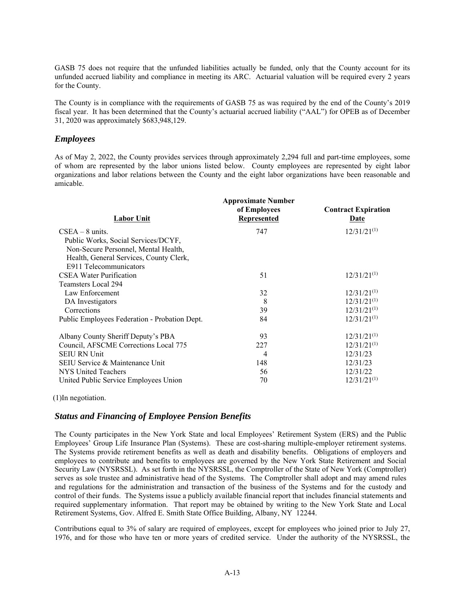GASB 75 does not require that the unfunded liabilities actually be funded, only that the County account for its unfunded accrued liability and compliance in meeting its ARC. Actuarial valuation will be required every 2 years for the County.

The County is in compliance with the requirements of GASB 75 as was required by the end of the County's 2019 fiscal year. It has been determined that the County's actuarial accrued liability ("AAL") for OPEB as of December 31, 2020 was approximately \$683,948,129.

## *Employees*

As of May 2, 2022, the County provides services through approximately 2,294 full and part-time employees, some of whom are represented by the labor unions listed below. County employees are represented by eight labor organizations and labor relations between the County and the eight labor organizations have been reasonable and amicable.

| Labor Unit                                    | <b>Approximate Number</b><br>of Employees<br>Represented | <b>Contract Expiration</b><br><u>Date</u> |
|-----------------------------------------------|----------------------------------------------------------|-------------------------------------------|
| $CSEA - 8$ units.                             | 747                                                      | $12/31/21^{(1)}$                          |
| Public Works, Social Services/DCYF,           |                                                          |                                           |
| Non-Secure Personnel, Mental Health,          |                                                          |                                           |
| Health, General Services, County Clerk,       |                                                          |                                           |
| E911 Telecommunicators                        |                                                          |                                           |
| CSEA Water Purification                       | 51                                                       | $12/31/21^{(1)}$                          |
| Teamsters Local 294                           |                                                          |                                           |
| Law Enforcement                               | 32                                                       | $12/31/21^{(1)}$                          |
| DA Investigators                              | 8                                                        | $12/31/21^{(1)}$                          |
| Corrections                                   | 39                                                       | $12/31/21^{(1)}$                          |
| Public Employees Federation - Probation Dept. | 84                                                       | $12/31/21^{(1)}$                          |
| Albany County Sheriff Deputy's PBA            | 93                                                       | $12/31/21^{(1)}$                          |
| Council, AFSCME Corrections Local 775         | 227                                                      | $12/31/21^{(1)}$                          |
| <b>SEIU RN Unit</b>                           | 4                                                        | 12/31/23                                  |
| SEIU Service & Maintenance Unit               | 148                                                      | 12/31/23                                  |
| NYS United Teachers                           | 56                                                       | 12/31/22                                  |
| United Public Service Employees Union         | 70                                                       | $12/31/21^{(1)}$                          |

(1)In negotiation.

## *Status and Financing of Employee Pension Benefits*

The County participates in the New York State and local Employees' Retirement System (ERS) and the Public Employees' Group Life Insurance Plan (Systems). These are cost-sharing multiple-employer retirement systems. The Systems provide retirement benefits as well as death and disability benefits. Obligations of employers and employees to contribute and benefits to employees are governed by the New York State Retirement and Social Security Law (NYSRSSL). As set forth in the NYSRSSL, the Comptroller of the State of New York (Comptroller) serves as sole trustee and administrative head of the Systems. The Comptroller shall adopt and may amend rules and regulations for the administration and transaction of the business of the Systems and for the custody and control of their funds. The Systems issue a publicly available financial report that includes financial statements and required supplementary information. That report may be obtained by writing to the New York State and Local Retirement Systems, Gov. Alfred E. Smith State Office Building, Albany, NY 12244.

Contributions equal to 3% of salary are required of employees, except for employees who joined prior to July 27, 1976, and for those who have ten or more years of credited service. Under the authority of the NYSRSSL, the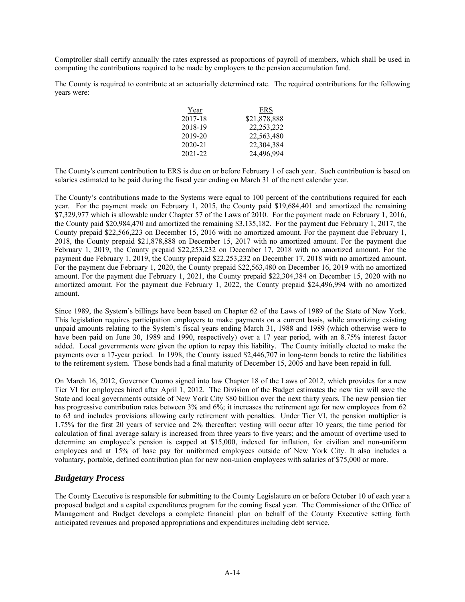Comptroller shall certify annually the rates expressed as proportions of payroll of members, which shall be used in computing the contributions required to be made by employers to the pension accumulation fund.

The County is required to contribute at an actuarially determined rate. The required contributions for the following years were:

| Year    | ERS          |
|---------|--------------|
| 2017-18 | \$21,878,888 |
| 2018-19 | 22, 253, 232 |
| 2019-20 | 22,563,480   |
| 2020-21 | 22,304,384   |
| 2021-22 | 24,496,994   |

The County's current contribution to ERS is due on or before February 1 of each year. Such contribution is based on salaries estimated to be paid during the fiscal year ending on March 31 of the next calendar year.

The County's contributions made to the Systems were equal to 100 percent of the contributions required for each year. For the payment made on February 1, 2015, the County paid \$19,684,401 and amortized the remaining \$7,329,977 which is allowable under Chapter 57 of the Laws of 2010. For the payment made on February 1, 2016, the County paid \$20,984,470 and amortized the remaining \$3,135,182. For the payment due February 1, 2017, the County prepaid \$22,566,223 on December 15, 2016 with no amortized amount. For the payment due February 1, 2018, the County prepaid \$21,878,888 on December 15, 2017 with no amortized amount. For the payment due February 1, 2019, the County prepaid \$22,253,232 on December 17, 2018 with no amortized amount. For the payment due February 1, 2019, the County prepaid \$22,253,232 on December 17, 2018 with no amortized amount. For the payment due February 1, 2020, the County prepaid \$22,563,480 on December 16, 2019 with no amortized amount. For the payment due February 1, 2021, the County prepaid \$22,304,384 on December 15, 2020 with no amortized amount. For the payment due February 1, 2022, the County prepaid \$24,496,994 with no amortized amount.

Since 1989, the System's billings have been based on Chapter 62 of the Laws of 1989 of the State of New York. This legislation requires participation employers to make payments on a current basis, while amortizing existing unpaid amounts relating to the System's fiscal years ending March 31, 1988 and 1989 (which otherwise were to have been paid on June 30, 1989 and 1990, respectively) over a 17 year period, with an 8.75% interest factor added. Local governments were given the option to repay this liability. The County initially elected to make the payments over a 17-year period. In 1998, the County issued \$2,446,707 in long-term bonds to retire the liabilities to the retirement system. Those bonds had a final maturity of December 15, 2005 and have been repaid in full.

On March 16, 2012, Governor Cuomo signed into law Chapter 18 of the Laws of 2012, which provides for a new Tier VI for employees hired after April 1, 2012. The Division of the Budget estimates the new tier will save the State and local governments outside of New York City \$80 billion over the next thirty years. The new pension tier has progressive contribution rates between 3% and 6%; it increases the retirement age for new employees from 62 to 63 and includes provisions allowing early retirement with penalties. Under Tier VI, the pension multiplier is 1.75% for the first 20 years of service and 2% thereafter; vesting will occur after 10 years; the time period for calculation of final average salary is increased from three years to five years; and the amount of overtime used to determine an employee's pension is capped at \$15,000, indexed for inflation, for civilian and non-uniform employees and at 15% of base pay for uniformed employees outside of New York City. It also includes a voluntary, portable, defined contribution plan for new non-union employees with salaries of \$75,000 or more.

## *Budgetary Process*

The County Executive is responsible for submitting to the County Legislature on or before October 10 of each year a proposed budget and a capital expenditures program for the coming fiscal year. The Commissioner of the Office of Management and Budget develops a complete financial plan on behalf of the County Executive setting forth anticipated revenues and proposed appropriations and expenditures including debt service.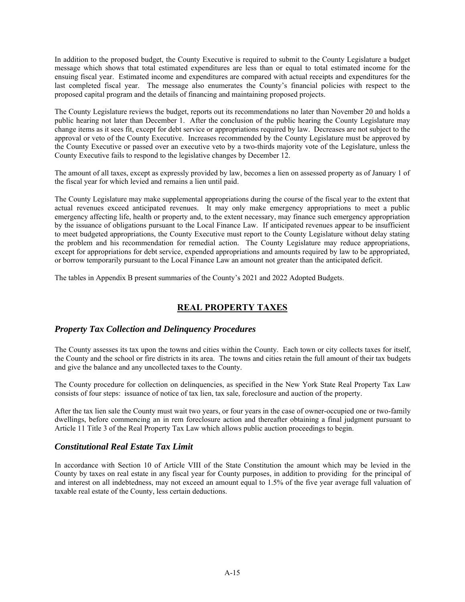In addition to the proposed budget, the County Executive is required to submit to the County Legislature a budget message which shows that total estimated expenditures are less than or equal to total estimated income for the ensuing fiscal year. Estimated income and expenditures are compared with actual receipts and expenditures for the last completed fiscal year. The message also enumerates the County's financial policies with respect to the proposed capital program and the details of financing and maintaining proposed projects.

The County Legislature reviews the budget, reports out its recommendations no later than November 20 and holds a public hearing not later than December 1. After the conclusion of the public hearing the County Legislature may change items as it sees fit, except for debt service or appropriations required by law. Decreases are not subject to the approval or veto of the County Executive. Increases recommended by the County Legislature must be approved by the County Executive or passed over an executive veto by a two-thirds majority vote of the Legislature, unless the County Executive fails to respond to the legislative changes by December 12.

The amount of all taxes, except as expressly provided by law, becomes a lien on assessed property as of January 1 of the fiscal year for which levied and remains a lien until paid.

The County Legislature may make supplemental appropriations during the course of the fiscal year to the extent that actual revenues exceed anticipated revenues. It may only make emergency appropriations to meet a public emergency affecting life, health or property and, to the extent necessary, may finance such emergency appropriation by the issuance of obligations pursuant to the Local Finance Law. If anticipated revenues appear to be insufficient to meet budgeted appropriations, the County Executive must report to the County Legislature without delay stating the problem and his recommendation for remedial action. The County Legislature may reduce appropriations, except for appropriations for debt service, expended appropriations and amounts required by law to be appropriated, or borrow temporarily pursuant to the Local Finance Law an amount not greater than the anticipated deficit.

The tables in Appendix B present summaries of the County's 2021 and 2022 Adopted Budgets.

## **REAL PROPERTY TAXES**

## *Property Tax Collection and Delinquency Procedures*

The County assesses its tax upon the towns and cities within the County. Each town or city collects taxes for itself, the County and the school or fire districts in its area. The towns and cities retain the full amount of their tax budgets and give the balance and any uncollected taxes to the County.

The County procedure for collection on delinquencies, as specified in the New York State Real Property Tax Law consists of four steps: issuance of notice of tax lien, tax sale, foreclosure and auction of the property.

After the tax lien sale the County must wait two years, or four years in the case of owner-occupied one or two-family dwellings, before commencing an in rem foreclosure action and thereafter obtaining a final judgment pursuant to Article 11 Title 3 of the Real Property Tax Law which allows public auction proceedings to begin.

## *Constitutional Real Estate Tax Limit*

In accordance with Section 10 of Article VIII of the State Constitution the amount which may be levied in the County by taxes on real estate in any fiscal year for County purposes, in addition to providing for the principal of and interest on all indebtedness, may not exceed an amount equal to 1.5% of the five year average full valuation of taxable real estate of the County, less certain deductions.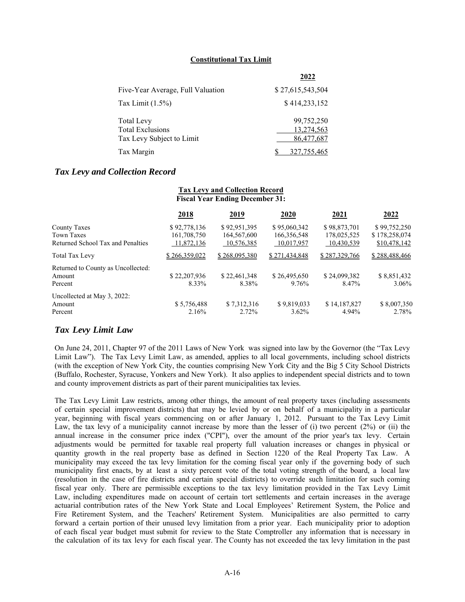#### **Constitutional Tax Limit**

|                                   | 2022             |
|-----------------------------------|------------------|
| Five-Year Average, Full Valuation | \$27,615,543,504 |
| Tax Limit $(1.5\%)$               | \$414,233,152    |
| <b>Total Levy</b>                 | 99,752,250       |
| <b>Total Exclusions</b>           | 13,274,563       |
| Tax Levy Subject to Limit         | 86,477,687       |
| Tax Margin                        | 327, 755, 465    |

### *Tax Levy and Collection Record*

| <b>Fiscal Year Ending December 31:</b>                                        |                                           |                                           |                                           |                                           |                                               |  |  |
|-------------------------------------------------------------------------------|-------------------------------------------|-------------------------------------------|-------------------------------------------|-------------------------------------------|-----------------------------------------------|--|--|
|                                                                               | 2018                                      | <u>2019</u>                               | <u>2020</u>                               | <u>2021</u>                               | 2022                                          |  |  |
| <b>County Taxes</b><br><b>Town Taxes</b><br>Returned School Tax and Penalties | \$92,778,136<br>161,708,750<br>11,872,136 | \$92,951,395<br>164,567,600<br>10,576,385 | \$95,060,342<br>166,356,548<br>10,017,957 | \$98,873,701<br>178,025,525<br>10,430,539 | \$99,752,250<br>\$178,258,074<br>\$10,478,142 |  |  |
| <b>Total Tax Levy</b>                                                         | \$266,359,022                             | \$268,095,380                             | \$271,434,848                             | \$287,329,766                             | \$288,488,466                                 |  |  |
| Returned to County as Uncollected:<br>Amount<br>Percent                       | \$22,207,936<br>8.33%                     | \$22,461,348<br>8.38%                     | \$26,495,650<br>9.76%                     | \$24,099,382<br>8.47%                     | \$8,851,432<br>3.06%                          |  |  |
| Uncollected at May 3, 2022:<br>Amount<br>Percent                              | \$5,756,488<br>2.16%                      | \$7,312,316<br>2.72%                      | \$9,819,033<br>$3.62\%$                   | \$14,187,827<br>4.94%                     | \$8,007,350<br>2.78%                          |  |  |

**Tax Levy and Collection Record** 

## *Tax Levy Limit Law*

On June 24, 2011, Chapter 97 of the 2011 Laws of New York was signed into law by the Governor (the "Tax Levy Limit Law"). The Tax Levy Limit Law, as amended, applies to all local governments, including school districts (with the exception of New York City, the counties comprising New York City and the Big 5 City School Districts (Buffalo, Rochester, Syracuse, Yonkers and New York). It also applies to independent special districts and to town and county improvement districts as part of their parent municipalities tax levies.

The Tax Levy Limit Law restricts, among other things, the amount of real property taxes (including assessments of certain special improvement districts) that may be levied by or on behalf of a municipality in a particular year, beginning with fiscal years commencing on or after January 1, 2012. Pursuant to the Tax Levy Limit Law, the tax levy of a municipality cannot increase by more than the lesser of (i) two percent (2%) or (ii) the annual increase in the consumer price index ("CPI"), over the amount of the prior year's tax levy. Certain adjustments would be permitted for taxable real property full valuation increases or changes in physical or quantity growth in the real property base as defined in Section 1220 of the Real Property Tax Law. A municipality may exceed the tax levy limitation for the coming fiscal year only if the governing body of such municipality first enacts, by at least a sixty percent vote of the total voting strength of the board, a local law (resolution in the case of fire districts and certain special districts) to override such limitation for such coming fiscal year only. There are permissible exceptions to the tax levy limitation provided in the Tax Levy Limit Law, including expenditures made on account of certain tort settlements and certain increases in the average actuarial contribution rates of the New York State and Local Employees' Retirement System, the Police and Fire Retirement System, and the Teachers' Retirement System. Municipalities are also permitted to carry forward a certain portion of their unused levy limitation from a prior year. Each municipality prior to adoption of each fiscal year budget must submit for review to the State Comptroller any information that is necessary in the calculation of its tax levy for each fiscal year. The County has not exceeded the tax levy limitation in the past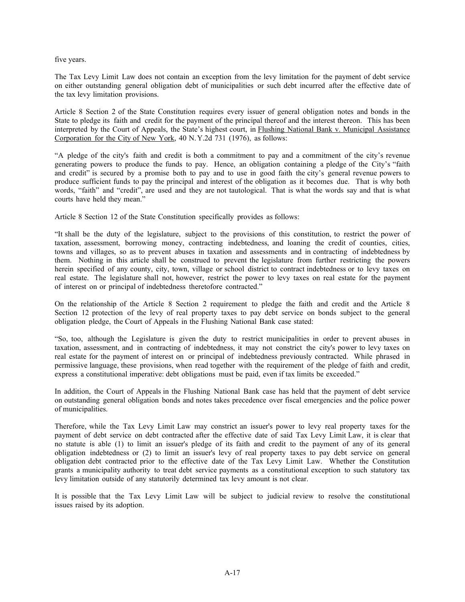five years.

The Tax Levy Limit Law does not contain an exception from the levy limitation for the payment of debt service on either outstanding general obligation debt of municipalities or such debt incurred after the effective date of the tax levy limitation provisions.

Article 8 Section 2 of the State Constitution requires every issuer of general obligation notes and bonds in the State to pledge its faith and credit for the payment of the principal thereof and the interest thereon. This has been interpreted by the Court of Appeals, the State's highest court, in Flushing National Bank v. Municipal Assistance Corporation for the City of New York, 40 N. Y.2d 731 (1976), as follows:

"A pledge of the city's faith and credit is both a commitment to pay and a commitment of the city's revenue generating powers to produce the funds to pay. Hence, an obligation containing a pledge of the City's "faith and credit" is secured by a promise both to pay and to use in good faith the city's general revenue powers to produce sufficient funds to pay the principal and interest of the obligation as it becomes due. That is why both words, "faith" and "credit", are used and they are not tautological. That is what the words say and that is what courts have held they mean."

Article 8 Section 12 of the State Constitution specifically provides as follows:

"It shall be the duty of the legislature, subject to the provisions of this constitution, to restrict the power of taxation, assessment, borrowing money, contracting indebtedness, and loaning the credit of counties, cities, towns and villages, so as to prevent abuses in taxation and assessments and in contracting of indebtedness by them. Nothing in this article shall be construed to prevent the legislature from further restricting the powers herein specified of any county, city, town, village or school district to contract indebtedness or to levy taxes on real estate. The legislature shall not, however, restrict the power to levy taxes on real estate for the payment of interest on or principal of indebtedness theretofore contracted."

On the relationship of the Article 8 Section 2 requirement to pledge the faith and credit and the Article 8 Section 12 protection of the levy of real property taxes to pay debt service on bonds subject to the general obligation pledge, the Court of Appeals in the Flushing National Bank case stated:

"So, too, although the Legislature is given the duty to restrict municipalities in order to prevent abuses in taxation, assessment, and in contracting of indebtedness, it may not constrict the city's power to levy taxes on real estate for the payment of interest on or principal of indebtedness previously contracted. While phrased in permissive language, these provisions, when read together with the requirement of the pledge of faith and credit, express a constitutional imperative: debt obligations must be paid, even if tax limits be exceeded."

In addition, the Court of Appeals in the Flushing National Bank case has held that the payment of debt service on outstanding general obligation bonds and notes takes precedence over fiscal emergencies and the police power of municipalities.

Therefore, while the Tax Levy Limit Law may constrict an issuer's power to levy real property taxes for the payment of debt service on debt contracted after the effective date of said Tax Levy Limit Law, it is clear that no statute is able (1) to limit an issuer's pledge of its faith and credit to the payment of any of its general obligation indebtedness or (2) to limit an issuer's levy of real property taxes to pay debt service on general obligation debt contracted prior to the effective date of the Tax Levy Limit Law. Whether the Constitution grants a municipality authority to treat debt service payments as a constitutional exception to such statutory tax levy limitation outside of any statutorily determined tax levy amount is not clear.

It is possible that the Tax Levy Limit Law will be subject to judicial review to resolve the constitutional issues raised by its adoption.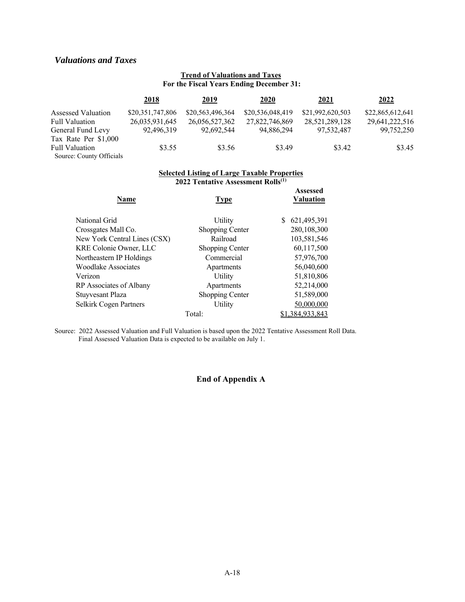## *Valuations and Taxes*

### **Trend of Valuations and Taxes For the Fiscal Years Ending December 31:**

|                          | 2018             | <u>2019</u>      | 2020             | 2021             | 2022             |
|--------------------------|------------------|------------------|------------------|------------------|------------------|
| Assessed Valuation       | \$20,351,747,806 | \$20,563,496,364 | \$20,536,048,419 | \$21,992,620,503 | \$22,865,612,641 |
| <b>Full Valuation</b>    | 26,035,931,645   | 26,056,527,362   | 27,822,746,869   | 28,521,289,128   | 29,641,222,516   |
| General Fund Levy        | 92,496,319       | 92,692,544       | 94,886,294       | 97,532,487       | 99,752,250       |
| Tax Rate Per \$1,000     |                  |                  |                  |                  |                  |
| <b>Full Valuation</b>    | \$3.55           | \$3.56           | \$3.49           | \$3.42           | \$3.45           |
| Source: County Officials |                  |                  |                  |                  |                  |

#### **Selected Listing of Large Taxable Properties 2022 Tentative Assessment Rolls(1)**

| Name                         | <b>Type</b>     | <b>Assessed</b><br><b>Valuation</b> |
|------------------------------|-----------------|-------------------------------------|
| National Grid                | Utility         | 621.495.391                         |
| Crossgates Mall Co.          | Shopping Center | 280,108,300                         |
| New York Central Lines (CSX) | Railroad        | 103,581,546                         |
| KRE Colonie Owner, LLC       | Shopping Center | 60,117,500                          |
| Northeastern IP Holdings     | Commercial      | 57,976,700                          |
| Woodlake Associates          | Apartments      | 56,040,600                          |
| Verizon                      | Utility         | 51,810,806                          |
| RP Associates of Albany      | Apartments      | 52,214,000                          |
| Stuyvesant Plaza             | Shopping Center | 51,589,000                          |
| Selkirk Cogen Partners       | Utility         | 50,000,000                          |
|                              | Total:          | \$1,384,933,843                     |

Source: 2022 Assessed Valuation and Full Valuation is based upon the 2022 Tentative Assessment Roll Data. Final Assessed Valuation Data is expected to be available on July 1.

### **End of Appendix A**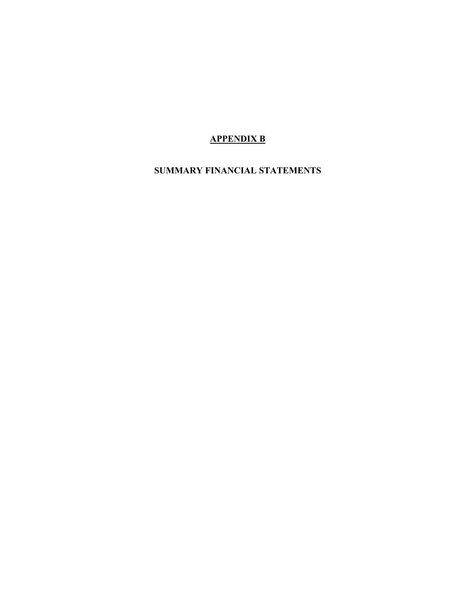# **APPENDIX B**

# **SUMMARY FINANCIAL STATEMENTS**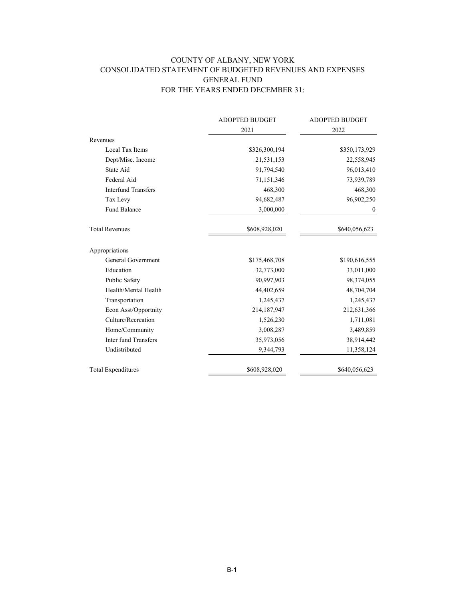## COUNTY OF ALBANY, NEW YORK CONSOLIDATED STATEMENT OF BUDGETED REVENUES AND EXPENSES GENERAL FUND FOR THE YEARS ENDED DECEMBER 31:

|                             | <b>ADOPTED BUDGET</b> | <b>ADOPTED BUDGET</b><br>2022 |  |
|-----------------------------|-----------------------|-------------------------------|--|
|                             | 2021                  |                               |  |
| Revenues                    |                       |                               |  |
| Local Tax Items             | \$326,300,194         | \$350,173,929                 |  |
| Dept/Misc. Income           | 21,531,153            | 22,558,945                    |  |
| State Aid                   | 91,794,540            | 96,013,410                    |  |
| Federal Aid                 | 71,151,346            | 73,939,789                    |  |
| <b>Interfund Transfers</b>  | 468,300               | 468,300                       |  |
| Tax Levy                    | 94,682,487            | 96,902,250                    |  |
| <b>Fund Balance</b>         | 3,000,000             | $\bf{0}$                      |  |
| <b>Total Revenues</b>       | \$608,928,020         | \$640,056,623                 |  |
| Appropriations              |                       |                               |  |
| General Government          | \$175,468,708         | \$190,616,555                 |  |
| Education                   | 32,773,000            | 33,011,000                    |  |
| Public Safety               | 90,997,903            | 98,374,055                    |  |
| Health/Mental Health        | 44,402,659            | 48,704,704                    |  |
| Transportation              | 1,245,437             | 1,245,437                     |  |
| Econ Asst/Opportnity        | 214,187,947           | 212,631,366                   |  |
| Culture/Recreation          | 1,526,230             | 1,711,081                     |  |
| Home/Community              | 3,008,287             | 3,489,859                     |  |
| <b>Inter fund Transfers</b> | 35,973,056            | 38,914,442                    |  |
| Undistributed               | 9,344,793             | 11,358,124                    |  |
| <b>Total Expenditures</b>   | \$608,928,020         | \$640,056,623                 |  |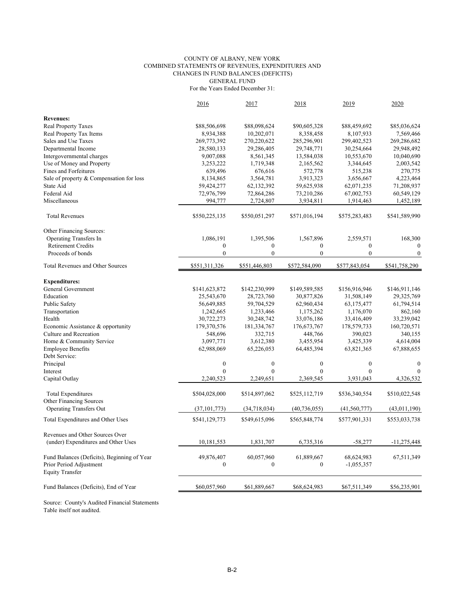#### COUNTY OF ALBANY, NEW YORK COMBINED STATEMENTS OF REVENUES, EXPENDITURES AND CHANGES IN FUND BALANCES (DEFICITS) GENERAL FUND For the Years Ended December 31:

|                                                        | 2016                    | 2017             | 2018             | 2019             | 2020             |
|--------------------------------------------------------|-------------------------|------------------|------------------|------------------|------------------|
| <b>Revenues:</b>                                       |                         |                  |                  |                  |                  |
| <b>Real Property Taxes</b>                             | \$88,506,698            | \$88,098,624     | \$90,605,328     | \$88,459,692     | \$85,036,624     |
| Real Property Tax Items                                | 8,934,388               | 10,202,071       | 8,358,458        | 8,107,933        | 7,569,466        |
| Sales and Use Taxes                                    | 269,773,392             | 270,220,622      | 285,296,901      | 299,402,523      | 269,286,682      |
| Departmental Income                                    |                         |                  | 29,748,771       | 30,254,664       | 29,948,492       |
|                                                        | 28,580,133<br>9,007,088 | 29,286,405       | 13,584,038       | 10,553,670       | 10,040,690       |
| Intergovernmental charges<br>Use of Money and Property |                         | 8,561,345        |                  | 3,344,645        |                  |
| Fines and Forfeitures                                  | 3,253,222               | 1,719,348        | 2,165,562        |                  | 2,003,542        |
|                                                        | 639,496                 | 676,616          | 572,778          | 515,238          | 270,775          |
| Sale of property & Compensation for loss               | 8,134,865               | 3,564,781        | 3,913,323        | 3,656,667        | 4,223,464        |
| State Aid                                              | 59,424,277              | 62,132,392       | 59,625,938       | 62,071,235       | 71,208,937       |
| Federal Aid                                            | 72,976,799              | 72,864,286       | 73,210,286       | 67,002,753       | 60,549,129       |
| Miscellaneous                                          | 994,777                 | 2,724,807        | 3,934,811        | 1,914,463        | 1,452,189        |
| <b>Total Revenues</b>                                  | \$550,225,135           | \$550,051,297    | \$571,016,194    | \$575,283,483    | \$541,589,990    |
| Other Financing Sources:                               |                         |                  |                  |                  |                  |
| <b>Operating Transfers In</b>                          | 1,086,191               | 1,395,506        | 1,567,896        | 2,559,571        | 168,300          |
| <b>Retirement Credits</b>                              | $\boldsymbol{0}$        | $\boldsymbol{0}$ | $\boldsymbol{0}$ | $\mathbf{0}$     | $\mathbf{0}$     |
| Proceeds of bonds                                      | $\overline{0}$          | $\mathbf{0}$     | $\mathbf{0}$     | $\mathbf{0}$     | $\mathbf{0}$     |
| Total Revenues and Other Sources                       | \$551,311,326           | \$551,446,803    | \$572,584,090    | \$577,843,054    | \$541,758,290    |
|                                                        |                         |                  |                  |                  |                  |
| <b>Expenditures:</b>                                   |                         |                  |                  |                  |                  |
| General Government                                     | \$141,623,872           | \$142,230,999    | \$149,589,585    | \$156,916,946    | \$146,911,146    |
| Education                                              | 25,543,670              | 28,723,760       | 30,877,826       | 31,508,149       | 29,325,769       |
| Public Safety                                          | 56,649,885              | 59,704,529       | 62,960,434       | 63,175,477       | 61,794,514       |
| Transportation                                         | 1,242,665               | 1,233,466        | 1,175,262        | 1,176,070        | 862,160          |
| Health                                                 | 30,722,273              | 30,248,742       | 33,076,186       | 33,416,409       | 33,239,042       |
| Economic Assistance & opportunity                      | 179,370,576             | 181,334,767      | 176, 673, 767    | 178,579,733      | 160,720,571      |
| Culture and Recreation                                 | 548,696                 | 332,715          | 448,766          | 390,023          | 340,155          |
| Home & Community Service                               | 3,097,771               | 3,612,380        | 3,455,954        | 3,425,339        | 4,614,004        |
| <b>Employee Benefits</b>                               | 62,988,069              | 65,226,053       | 64,485,394       | 63,821,365       | 67,888,655       |
| Debt Service:                                          |                         |                  |                  |                  |                  |
| Principal                                              | $\mathbf{0}$            | $\mathbf{0}$     | $\boldsymbol{0}$ | $\boldsymbol{0}$ | $\boldsymbol{0}$ |
| Interest                                               | $\theta$                | $\theta$         | $\theta$         | $\theta$         | $\Omega$         |
| Capital Outlay                                         | 2,240,523               | 2,249,651        | 2,369,545        | 3,931,043        | 4,326,532        |
| <b>Total Expenditures</b>                              | \$504,028,000           | \$514,897,062    | \$525,112,719    | \$536,340,554    | \$510,022,548    |
| <b>Other Financing Sources</b>                         |                         |                  |                  |                  |                  |
| <b>Operating Transfers Out</b>                         | (37, 101, 773)          | (34,718,034)     | (40, 736, 055)   | (41, 560, 777)   | (43,011,190)     |
|                                                        |                         |                  |                  |                  |                  |
| Total Expenditures and Other Uses                      | \$541,129,773           | \$549,615,096    | \$565,848,774    | \$577,901,331    | \$553,033,738    |
| Revenues and Other Sources Over                        |                         |                  |                  |                  |                  |
| (under) Expenditures and Other Uses                    | 10,181,553              | 1,831,707        | 6,735,316        | $-58,277$        | $-11,275,448$    |
| Fund Balances (Deficits), Beginning of Year            | 49,876,407              | 60,057,960       | 61,889,667       | 68,624,983       | 67,511,349       |
| Prior Period Adjustment<br><b>Equity Transfer</b>      | $\theta$                | $\theta$         | $\boldsymbol{0}$ | $-1,055,357$     |                  |
| Fund Balances (Deficits), End of Year                  | \$60,057,960            | \$61,889,667     | \$68,624,983     | \$67,511,349     | \$56,235,901     |
|                                                        |                         |                  |                  |                  |                  |

Source: County's Audited Financial Statements Table itself not audited.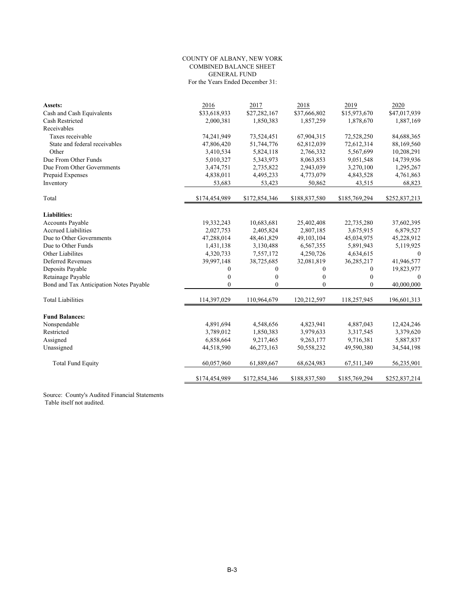#### COUNTY OF ALBANY, NEW YORK COMBINED BALANCE SHEET GENERAL FUND For the Years Ended December 31:

| Assets:                                 | 2016          | 2017             | 2018          | 2019           | 2020          |
|-----------------------------------------|---------------|------------------|---------------|----------------|---------------|
| Cash and Cash Equivalents               | \$33,618,933  | \$27,282,167     | \$37,666,802  | \$15,973,670   | \$47,017,939  |
| Cash Restricted                         | 2,000,381     | 1,850,383        | 1,857,259     | 1,878,670      | 1,887,169     |
| Receivables                             |               |                  |               |                |               |
| Taxes receivable                        | 74,241,949    | 73,524,451       | 67,904,315    | 72,528,250     | 84,688,365    |
| State and federal receivables           | 47,806,420    | 51,744,776       | 62,812,039    | 72,612,314     | 88,169,560    |
| Other                                   | 3,410,534     | 5,824,118        | 2,766,332     | 5,567,699      | 10,208,291    |
| Due From Other Funds                    | 5,010,327     | 5,343,973        | 8,063,853     | 9,051,548      | 14,739,936    |
| Due From Other Governments              | 3,474,751     | 2,735,822        | 2,943,039     | 3,270,100      | 1,295,267     |
| Prepaid Expenses                        | 4,838,011     | 4,495,233        | 4,773,079     | 4,843,528      | 4,761,863     |
| Inventory                               | 53,683        | 53,423           | 50,862        | 43,515         | 68,823        |
| Total                                   | \$174,454,989 | \$172,854,346    | \$188,837,580 | \$185,769,294  | \$252,837,213 |
| <b>Liabilities:</b>                     |               |                  |               |                |               |
| Accounts Payable                        | 19,332,243    | 10,683,681       | 25,402,408    | 22,735,280     | 37,602,395    |
| <b>Accrued Liabilities</b>              | 2,027,753     | 2,405,824        | 2,807,185     | 3,675,915      | 6,879,527     |
| Due to Other Governments                | 47,288,014    | 48,461,829       | 49,103,104    | 45,034,975     | 45,228,912    |
| Due to Other Funds                      | 1,431,138     | 3,130,488        | 6,567,355     | 5,891,943      | 5,119,925     |
| Other Liabilites                        | 4,320,733     | 7,557,172        | 4,250,726     | 4,634,615      | $\theta$      |
| <b>Deferred Revenues</b>                | 39,997,148    | 38,725,685       | 32,081,819    | 36,285,217     | 41,946,577    |
| Deposits Payable                        | $\mathbf{0}$  | $\boldsymbol{0}$ | $\mathbf{0}$  | $\overline{0}$ | 19,823,977    |
| Retainage Payable                       | $\mathbf{0}$  | $\boldsymbol{0}$ | $\mathbf{0}$  | $\overline{0}$ | $\Omega$      |
| Bond and Tax Anticipation Notes Payable | $\theta$      | $\mathbf{0}$     | $\mathbf{0}$  | $\Omega$       | 40,000,000    |
| <b>Total Liabilities</b>                | 114,397,029   | 110,964,679      | 120,212,597   | 118,257,945    | 196,601,313   |
| <b>Fund Balances:</b>                   |               |                  |               |                |               |
| Nonspendable                            | 4,891,694     | 4,548,656        | 4,823,941     | 4,887,043      | 12,424,246    |
| Restricted                              | 3,789,012     | 1,850,383        | 3,979,633     | 3,317,545      | 3,379,620     |
| Assigned                                | 6,858,664     | 9,217,465        | 9,263,177     | 9,716,381      | 5,887,837     |
| Unassigned                              | 44,518,590    | 46,273,163       | 50,558,232    | 49,590,380     | 34,544,198    |
|                                         |               |                  |               |                |               |
| <b>Total Fund Equity</b>                | 60,057,960    | 61,889,667       | 68,624,983    | 67,511,349     | 56,235,901    |
|                                         | \$174,454,989 | \$172,854,346    | \$188,837,580 | \$185,769,294  | \$252,837,214 |

Source: County's Audited Financial Statements Table itself not audited.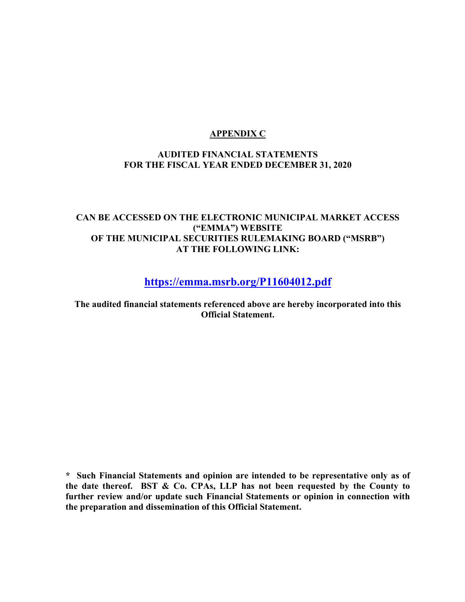## **APPENDIX C**

## **AUDITED FINANCIAL STATEMENTS FOR THE FISCAL YEAR ENDED DECEMBER 31, 2020**

## **CAN BE ACCESSED ON THE ELECTRONIC MUNICIPAL MARKET ACCESS ("EMMA") WEBSITE OF THE MUNICIPAL SECURITIES RULEMAKING BOARD ("MSRB") AT THE FOLLOWING LINK:**

**https://emma.msrb.org/P11604012.pdf** 

**The audited financial statements referenced above are hereby incorporated into this Official Statement.** 

**\* Such Financial Statements and opinion are intended to be representative only as of the date thereof. BST & Co. CPAs, LLP has not been requested by the County to further review and/or update such Financial Statements or opinion in connection with the preparation and dissemination of this Official Statement.**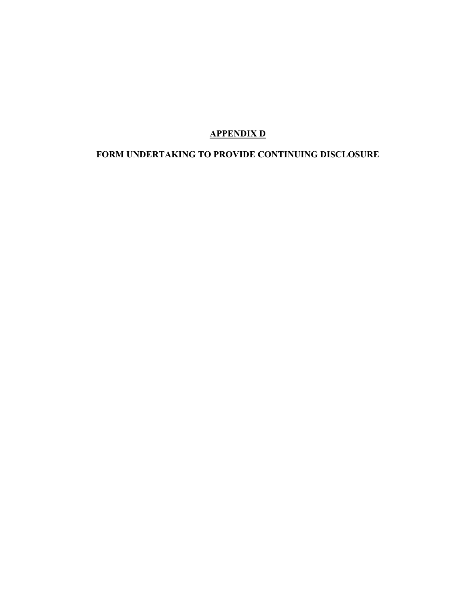# **APPENDIX D**

# **FORM UNDERTAKING TO PROVIDE CONTINUING DISCLOSURE**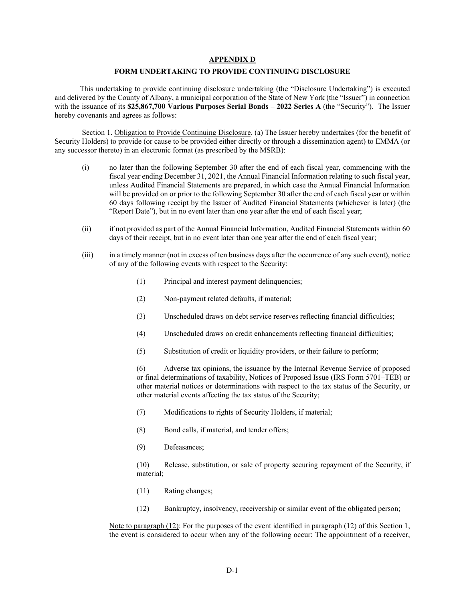#### **APPENDIX D**

#### **FORM UNDERTAKING TO PROVIDE CONTINUING DISCLOSURE**

This undertaking to provide continuing disclosure undertaking (the "Disclosure Undertaking") is executed and delivered by the County of Albany, a municipal corporation of the State of New York (the "Issuer") in connection with the issuance of its **\$25,867,700 Various Purposes Serial Bonds – 2022 Series A** (the "Security"). The Issuer hereby covenants and agrees as follows:

Section 1. Obligation to Provide Continuing Disclosure. (a) The Issuer hereby undertakes (for the benefit of Security Holders) to provide (or cause to be provided either directly or through a dissemination agent) to EMMA (or any successor thereto) in an electronic format (as prescribed by the MSRB):

- (i) no later than the following September 30 after the end of each fiscal year, commencing with the fiscal year ending December 31, 2021, the Annual Financial Information relating to such fiscal year, unless Audited Financial Statements are prepared, in which case the Annual Financial Information will be provided on or prior to the following September 30 after the end of each fiscal year or within 60 days following receipt by the Issuer of Audited Financial Statements (whichever is later) (the "Report Date"), but in no event later than one year after the end of each fiscal year;
- (ii) if not provided as part of the Annual Financial Information, Audited Financial Statements within 60 days of their receipt, but in no event later than one year after the end of each fiscal year;
- (iii) in a timely manner (not in excess of ten business days after the occurrence of any such event), notice of any of the following events with respect to the Security:
	- (1) Principal and interest payment delinquencies;
	- (2) Non-payment related defaults, if material;
	- (3) Unscheduled draws on debt service reserves reflecting financial difficulties;
	- (4) Unscheduled draws on credit enhancements reflecting financial difficulties;
	- (5) Substitution of credit or liquidity providers, or their failure to perform;

(6) Adverse tax opinions, the issuance by the Internal Revenue Service of proposed or final determinations of taxability, Notices of Proposed Issue (IRS Form 5701–TEB) or other material notices or determinations with respect to the tax status of the Security, or other material events affecting the tax status of the Security;

- (7) Modifications to rights of Security Holders, if material;
- (8) Bond calls, if material, and tender offers;
- (9) Defeasances;

(10) Release, substitution, or sale of property securing repayment of the Security, if material;

- (11) Rating changes;
- (12) Bankruptcy, insolvency, receivership or similar event of the obligated person;

Note to paragraph (12): For the purposes of the event identified in paragraph (12) of this Section 1, the event is considered to occur when any of the following occur: The appointment of a receiver,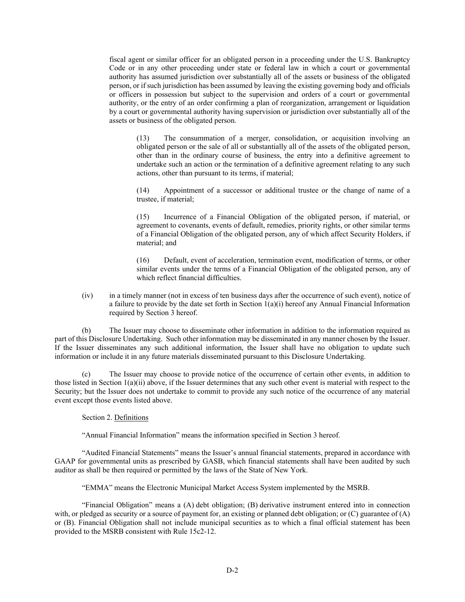fiscal agent or similar officer for an obligated person in a proceeding under the U.S. Bankruptcy Code or in any other proceeding under state or federal law in which a court or governmental authority has assumed jurisdiction over substantially all of the assets or business of the obligated person, or if such jurisdiction has been assumed by leaving the existing governing body and officials or officers in possession but subject to the supervision and orders of a court or governmental authority, or the entry of an order confirming a plan of reorganization, arrangement or liquidation by a court or governmental authority having supervision or jurisdiction over substantially all of the assets or business of the obligated person.

(13) The consummation of a merger, consolidation, or acquisition involving an obligated person or the sale of all or substantially all of the assets of the obligated person, other than in the ordinary course of business, the entry into a definitive agreement to undertake such an action or the termination of a definitive agreement relating to any such actions, other than pursuant to its terms, if material;

(14) Appointment of a successor or additional trustee or the change of name of a trustee, if material;

(15) Incurrence of a Financial Obligation of the obligated person, if material, or agreement to covenants, events of default, remedies, priority rights, or other similar terms of a Financial Obligation of the obligated person, any of which affect Security Holders, if material; and

(16) Default, event of acceleration, termination event, modification of terms, or other similar events under the terms of a Financial Obligation of the obligated person, any of which reflect financial difficulties.

(iv) in a timely manner (not in excess of ten business days after the occurrence of such event), notice of a failure to provide by the date set forth in Section  $1(a)(i)$  hereof any Annual Financial Information required by Section 3 hereof.

(b) The Issuer may choose to disseminate other information in addition to the information required as part of this Disclosure Undertaking. Such other information may be disseminated in any manner chosen by the Issuer. If the Issuer disseminates any such additional information, the Issuer shall have no obligation to update such information or include it in any future materials disseminated pursuant to this Disclosure Undertaking.

(c) The Issuer may choose to provide notice of the occurrence of certain other events, in addition to those listed in Section  $1(a)(ii)$  above, if the Issuer determines that any such other event is material with respect to the Security; but the Issuer does not undertake to commit to provide any such notice of the occurrence of any material event except those events listed above.

#### Section 2. Definitions

"Annual Financial Information" means the information specified in Section 3 hereof.

"Audited Financial Statements" means the Issuer's annual financial statements, prepared in accordance with GAAP for governmental units as prescribed by GASB, which financial statements shall have been audited by such auditor as shall be then required or permitted by the laws of the State of New York.

"EMMA" means the Electronic Municipal Market Access System implemented by the MSRB.

"Financial Obligation" means a (A) debt obligation; (B) derivative instrument entered into in connection with, or pledged as security or a source of payment for, an existing or planned debt obligation; or  $(C)$  guarantee of  $(A)$ or (B). Financial Obligation shall not include municipal securities as to which a final official statement has been provided to the MSRB consistent with Rule 15c2-12.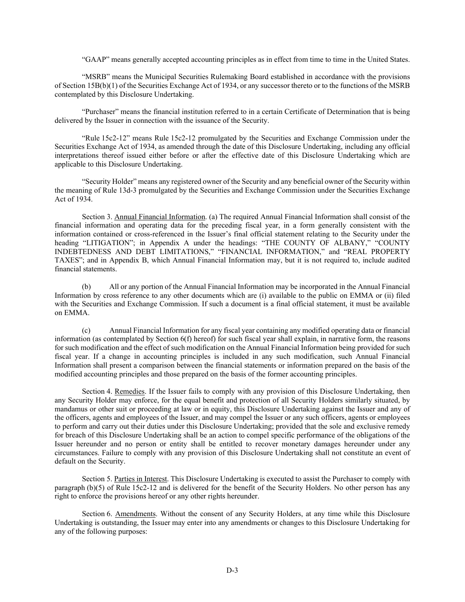"GAAP" means generally accepted accounting principles as in effect from time to time in the United States.

"MSRB" means the Municipal Securities Rulemaking Board established in accordance with the provisions of Section 15B(b)(1) of the Securities Exchange Act of 1934, or any successor thereto or to the functions of the MSRB contemplated by this Disclosure Undertaking.

"Purchaser" means the financial institution referred to in a certain Certificate of Determination that is being delivered by the Issuer in connection with the issuance of the Security.

"Rule 15c2-12" means Rule 15c2-12 promulgated by the Securities and Exchange Commission under the Securities Exchange Act of 1934, as amended through the date of this Disclosure Undertaking, including any official interpretations thereof issued either before or after the effective date of this Disclosure Undertaking which are applicable to this Disclosure Undertaking.

"Security Holder" means any registered owner of the Security and any beneficial owner of the Security within the meaning of Rule 13d-3 promulgated by the Securities and Exchange Commission under the Securities Exchange Act of 1934.

Section 3. Annual Financial Information. (a) The required Annual Financial Information shall consist of the financial information and operating data for the preceding fiscal year, in a form generally consistent with the information contained or cross-referenced in the Issuer's final official statement relating to the Security under the heading "LITIGATION"; in Appendix A under the headings: "THE COUNTY OF ALBANY," "COUNTY INDEBTEDNESS AND DEBT LIMITATIONS," "FINANCIAL INFORMATION," and "REAL PROPERTY TAXES"; and in Appendix B, which Annual Financial Information may, but it is not required to, include audited financial statements.

(b) All or any portion of the Annual Financial Information may be incorporated in the Annual Financial Information by cross reference to any other documents which are (i) available to the public on EMMA or (ii) filed with the Securities and Exchange Commission. If such a document is a final official statement, it must be available on EMMA.

(c) Annual Financial Information for any fiscal year containing any modified operating data or financial information (as contemplated by Section 6(f) hereof) for such fiscal year shall explain, in narrative form, the reasons for such modification and the effect of such modification on the Annual Financial Information being provided for such fiscal year. If a change in accounting principles is included in any such modification, such Annual Financial Information shall present a comparison between the financial statements or information prepared on the basis of the modified accounting principles and those prepared on the basis of the former accounting principles.

Section 4. Remedies. If the Issuer fails to comply with any provision of this Disclosure Undertaking, then any Security Holder may enforce, for the equal benefit and protection of all Security Holders similarly situated, by mandamus or other suit or proceeding at law or in equity, this Disclosure Undertaking against the Issuer and any of the officers, agents and employees of the Issuer, and may compel the Issuer or any such officers, agents or employees to perform and carry out their duties under this Disclosure Undertaking; provided that the sole and exclusive remedy for breach of this Disclosure Undertaking shall be an action to compel specific performance of the obligations of the Issuer hereunder and no person or entity shall be entitled to recover monetary damages hereunder under any circumstances. Failure to comply with any provision of this Disclosure Undertaking shall not constitute an event of default on the Security.

Section 5. Parties in Interest. This Disclosure Undertaking is executed to assist the Purchaser to comply with paragraph (b)(5) of Rule 15c2-12 and is delivered for the benefit of the Security Holders. No other person has any right to enforce the provisions hereof or any other rights hereunder.

Section 6. Amendments. Without the consent of any Security Holders, at any time while this Disclosure Undertaking is outstanding, the Issuer may enter into any amendments or changes to this Disclosure Undertaking for any of the following purposes: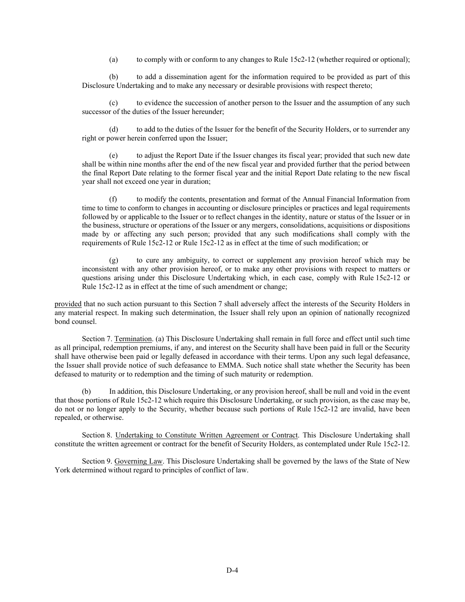(a) to comply with or conform to any changes to Rule 15c2-12 (whether required or optional);

(b) to add a dissemination agent for the information required to be provided as part of this Disclosure Undertaking and to make any necessary or desirable provisions with respect thereto;

(c) to evidence the succession of another person to the Issuer and the assumption of any such successor of the duties of the Issuer hereunder;

(d) to add to the duties of the Issuer for the benefit of the Security Holders, or to surrender any right or power herein conferred upon the Issuer;

(e) to adjust the Report Date if the Issuer changes its fiscal year; provided that such new date shall be within nine months after the end of the new fiscal year and provided further that the period between the final Report Date relating to the former fiscal year and the initial Report Date relating to the new fiscal year shall not exceed one year in duration;

(f) to modify the contents, presentation and format of the Annual Financial Information from time to time to conform to changes in accounting or disclosure principles or practices and legal requirements followed by or applicable to the Issuer or to reflect changes in the identity, nature or status of the Issuer or in the business, structure or operations of the Issuer or any mergers, consolidations, acquisitions or dispositions made by or affecting any such person; provided that any such modifications shall comply with the requirements of Rule 15c2-12 or Rule 15c2-12 as in effect at the time of such modification; or

(g) to cure any ambiguity, to correct or supplement any provision hereof which may be inconsistent with any other provision hereof, or to make any other provisions with respect to matters or questions arising under this Disclosure Undertaking which, in each case, comply with Rule 15c2-12 or Rule 15c2-12 as in effect at the time of such amendment or change;

provided that no such action pursuant to this Section 7 shall adversely affect the interests of the Security Holders in any material respect. In making such determination, the Issuer shall rely upon an opinion of nationally recognized bond counsel.

Section 7. Termination. (a) This Disclosure Undertaking shall remain in full force and effect until such time as all principal, redemption premiums, if any, and interest on the Security shall have been paid in full or the Security shall have otherwise been paid or legally defeased in accordance with their terms. Upon any such legal defeasance, the Issuer shall provide notice of such defeasance to EMMA. Such notice shall state whether the Security has been defeased to maturity or to redemption and the timing of such maturity or redemption.

(b) In addition, this Disclosure Undertaking, or any provision hereof, shall be null and void in the event that those portions of Rule 15c2-12 which require this Disclosure Undertaking, or such provision, as the case may be, do not or no longer apply to the Security, whether because such portions of Rule 15c2-12 are invalid, have been repealed, or otherwise.

Section 8. Undertaking to Constitute Written Agreement or Contract. This Disclosure Undertaking shall constitute the written agreement or contract for the benefit of Security Holders, as contemplated under Rule 15c2-12.

Section 9. Governing Law. This Disclosure Undertaking shall be governed by the laws of the State of New York determined without regard to principles of conflict of law.